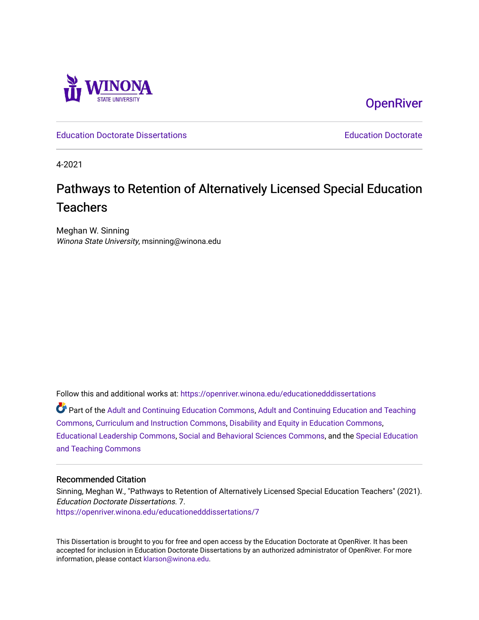

**OpenRiver** 

[Education Doctorate Dissertations](https://openriver.winona.edu/educationedddissertations) [Education Doctorate](https://openriver.winona.edu/educationedd) 

4-2021

# Pathways to Retention of Alternatively Licensed Special Education **Teachers**

Meghan W. Sinning Winona State University, msinning@winona.edu

Follow this and additional works at: [https://openriver.winona.edu/educationedddissertations](https://openriver.winona.edu/educationedddissertations?utm_source=openriver.winona.edu%2Feducationedddissertations%2F7&utm_medium=PDF&utm_campaign=PDFCoverPages) 

Part of the [Adult and Continuing Education Commons,](http://network.bepress.com/hgg/discipline/1375?utm_source=openriver.winona.edu%2Feducationedddissertations%2F7&utm_medium=PDF&utm_campaign=PDFCoverPages) [Adult and Continuing Education and Teaching](http://network.bepress.com/hgg/discipline/804?utm_source=openriver.winona.edu%2Feducationedddissertations%2F7&utm_medium=PDF&utm_campaign=PDFCoverPages)  [Commons](http://network.bepress.com/hgg/discipline/804?utm_source=openriver.winona.edu%2Feducationedddissertations%2F7&utm_medium=PDF&utm_campaign=PDFCoverPages), [Curriculum and Instruction Commons](http://network.bepress.com/hgg/discipline/786?utm_source=openriver.winona.edu%2Feducationedddissertations%2F7&utm_medium=PDF&utm_campaign=PDFCoverPages), [Disability and Equity in Education Commons,](http://network.bepress.com/hgg/discipline/1040?utm_source=openriver.winona.edu%2Feducationedddissertations%2F7&utm_medium=PDF&utm_campaign=PDFCoverPages) [Educational Leadership Commons](http://network.bepress.com/hgg/discipline/1230?utm_source=openriver.winona.edu%2Feducationedddissertations%2F7&utm_medium=PDF&utm_campaign=PDFCoverPages), [Social and Behavioral Sciences Commons](http://network.bepress.com/hgg/discipline/316?utm_source=openriver.winona.edu%2Feducationedddissertations%2F7&utm_medium=PDF&utm_campaign=PDFCoverPages), and the [Special Education](http://network.bepress.com/hgg/discipline/801?utm_source=openriver.winona.edu%2Feducationedddissertations%2F7&utm_medium=PDF&utm_campaign=PDFCoverPages) [and Teaching Commons](http://network.bepress.com/hgg/discipline/801?utm_source=openriver.winona.edu%2Feducationedddissertations%2F7&utm_medium=PDF&utm_campaign=PDFCoverPages)

# Recommended Citation

Sinning, Meghan W., "Pathways to Retention of Alternatively Licensed Special Education Teachers" (2021). Education Doctorate Dissertations. 7. [https://openriver.winona.edu/educationedddissertations/7](https://openriver.winona.edu/educationedddissertations/7?utm_source=openriver.winona.edu%2Feducationedddissertations%2F7&utm_medium=PDF&utm_campaign=PDFCoverPages) 

This Dissertation is brought to you for free and open access by the Education Doctorate at OpenRiver. It has been accepted for inclusion in Education Doctorate Dissertations by an authorized administrator of OpenRiver. For more information, please contact [klarson@winona.edu](mailto:klarson@winona.edu).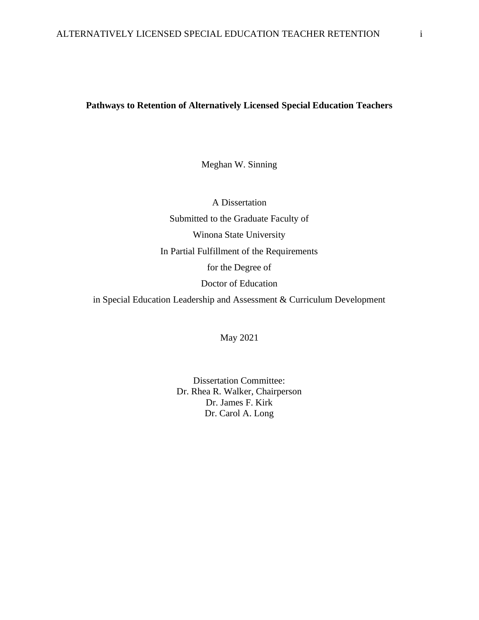# **Pathways to Retention of Alternatively Licensed Special Education Teachers**

Meghan W. Sinning

A Dissertation Submitted to the Graduate Faculty of Winona State University In Partial Fulfillment of the Requirements for the Degree of Doctor of Education in Special Education Leadership and Assessment & Curriculum Development

May 2021

Dissertation Committee: Dr. Rhea R. Walker, Chairperson Dr. James F. Kirk Dr. Carol A. Long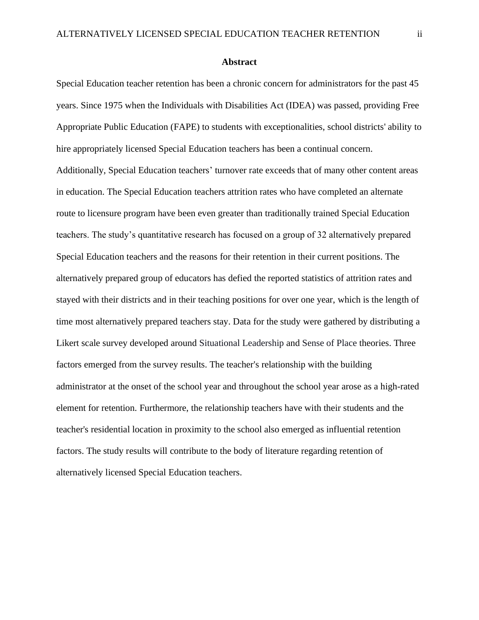#### **Abstract**

Special Education teacher retention has been a chronic concern for administrators for the past 45 years. Since 1975 when the Individuals with Disabilities Act (IDEA) was passed, providing Free Appropriate Public Education (FAPE) to students with exceptionalities, school districts' ability to hire appropriately licensed Special Education teachers has been a continual concern.

Additionally, Special Education teachers' turnover rate exceeds that of many other content areas in education. The Special Education teachers attrition rates who have completed an alternate route to licensure program have been even greater than traditionally trained Special Education teachers. The study's quantitative research has focused on a group of 32 alternatively prepared Special Education teachers and the reasons for their retention in their current positions. The alternatively prepared group of educators has defied the reported statistics of attrition rates and stayed with their districts and in their teaching positions for over one year, which is the length of time most alternatively prepared teachers stay. Data for the study were gathered by distributing a Likert scale survey developed around Situational Leadership and Sense of Place theories. Three factors emerged from the survey results. The teacher's relationship with the building administrator at the onset of the school year and throughout the school year arose as a high-rated element for retention. Furthermore, the relationship teachers have with their students and the teacher's residential location in proximity to the school also emerged as influential retention factors. The study results will contribute to the body of literature regarding retention of alternatively licensed Special Education teachers.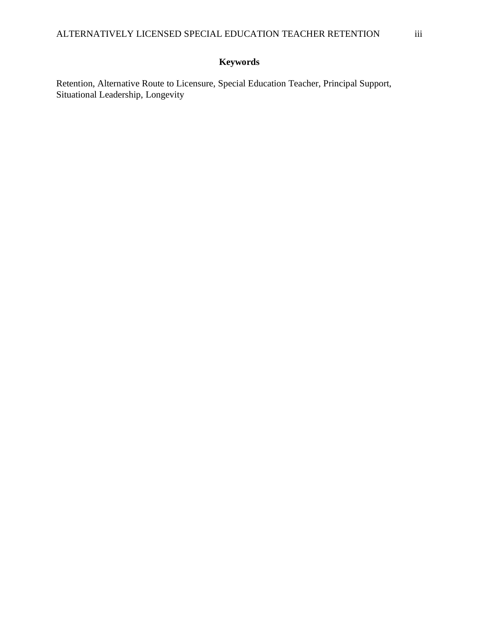# **Keywords**

Retention, Alternative Route to Licensure, Special Education Teacher, Principal Support, Situational Leadership, Longevity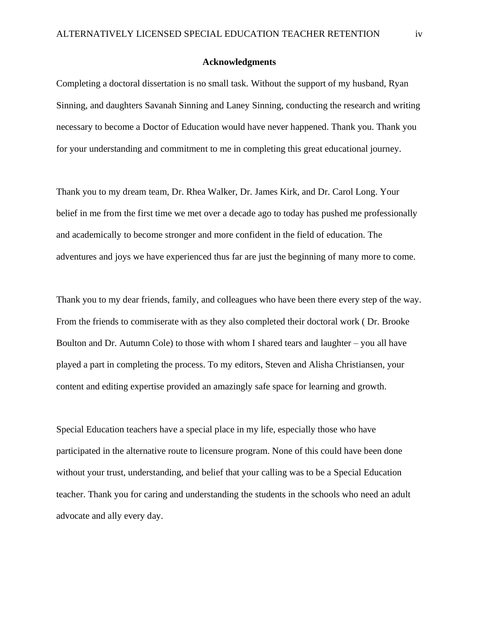# **Acknowledgments**

Completing a doctoral dissertation is no small task. Without the support of my husband, Ryan Sinning, and daughters Savanah Sinning and Laney Sinning, conducting the research and writing necessary to become a Doctor of Education would have never happened. Thank you. Thank you for your understanding and commitment to me in completing this great educational journey.

Thank you to my dream team, Dr. Rhea Walker, Dr. James Kirk, and Dr. Carol Long. Your belief in me from the first time we met over a decade ago to today has pushed me professionally and academically to become stronger and more confident in the field of education. The adventures and joys we have experienced thus far are just the beginning of many more to come.

Thank you to my dear friends, family, and colleagues who have been there every step of the way. From the friends to commiserate with as they also completed their doctoral work ( Dr. Brooke Boulton and Dr. Autumn Cole) to those with whom I shared tears and laughter – you all have played a part in completing the process. To my editors, Steven and Alisha Christiansen, your content and editing expertise provided an amazingly safe space for learning and growth.

Special Education teachers have a special place in my life, especially those who have participated in the alternative route to licensure program. None of this could have been done without your trust, understanding, and belief that your calling was to be a Special Education teacher. Thank you for caring and understanding the students in the schools who need an adult advocate and ally every day.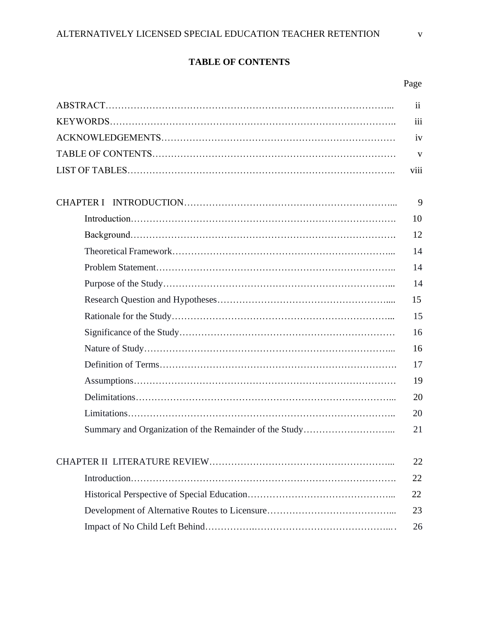# **TABLE OF CONTENTS**

# Page

| $\mathbf{ii}$ |
|---------------|
| iii           |
| iv            |
| V             |
| viii          |
|               |
| 9             |
| 10            |
| 12            |
| 14            |
| 14            |
| 14            |
| 15            |
| 15            |
| 16            |
| 16            |
| 17            |
| 19            |
| 20            |
| 20            |
| 21            |
|               |
| 22            |
| 22            |
| 22            |
| 23            |
| 26            |
|               |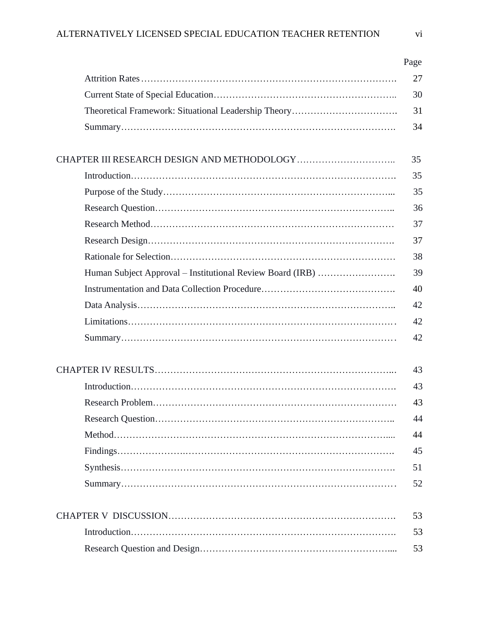|                                                           | Page |
|-----------------------------------------------------------|------|
|                                                           | 27   |
|                                                           | 30   |
|                                                           | 31   |
|                                                           | 34   |
|                                                           | 35   |
|                                                           | 35   |
|                                                           | 35   |
|                                                           | 36   |
|                                                           | 37   |
|                                                           | 37   |
|                                                           | 38   |
| Human Subject Approval – Institutional Review Board (IRB) | 39   |
|                                                           | 40   |
|                                                           | 42   |
|                                                           | 42   |
|                                                           | 42   |
|                                                           | 43   |
|                                                           | 43   |
|                                                           | 43   |
|                                                           | 44   |
|                                                           | 44   |
|                                                           | 45   |
|                                                           | 51   |
|                                                           | 52   |
|                                                           | 53   |
|                                                           | 53   |
|                                                           | 53   |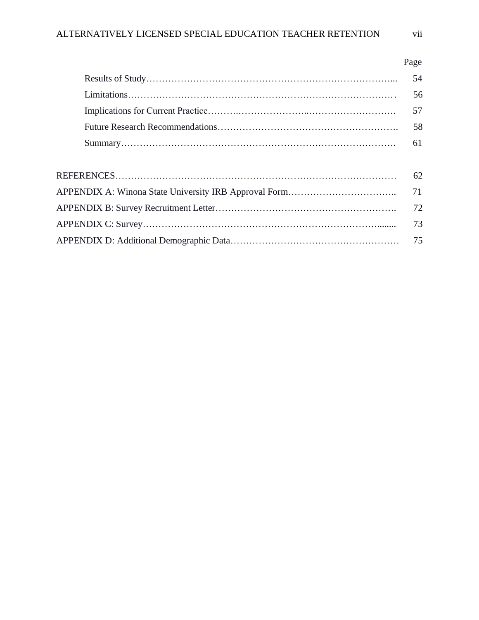| 54 |
|----|
| 56 |
| 57 |
| 58 |
| 61 |
|    |
| 62 |
| 71 |
| 72 |
| 73 |
| 75 |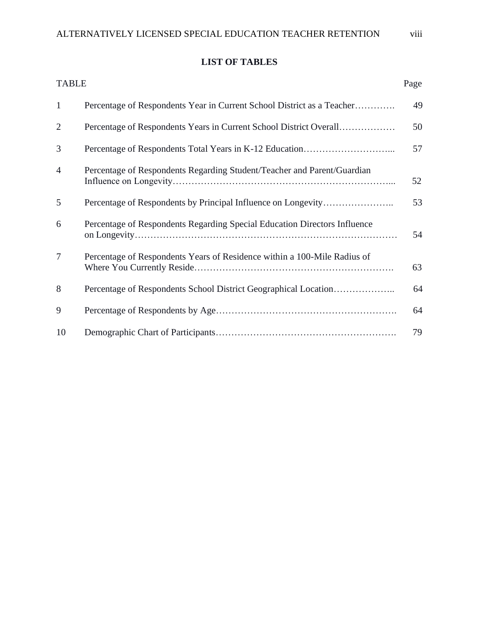# **LIST OF TABLES**

| <b>TABLE</b>   |                                                                           | Page |
|----------------|---------------------------------------------------------------------------|------|
| $\mathbf{1}$   | Percentage of Respondents Year in Current School District as a Teacher    | 49   |
| $\overline{2}$ | Percentage of Respondents Years in Current School District Overall        | 50   |
| 3              |                                                                           | 57   |
| $\overline{4}$ | Percentage of Respondents Regarding Student/Teacher and Parent/Guardian   | 52   |
| 5              |                                                                           | 53   |
| 6              | Percentage of Respondents Regarding Special Education Directors Influence | 54   |
| $\tau$         | Percentage of Respondents Years of Residence within a 100-Mile Radius of  | 63   |
| 8              | Percentage of Respondents School District Geographical Location           | 64   |
| 9              |                                                                           | 64   |
| 10             |                                                                           | 79   |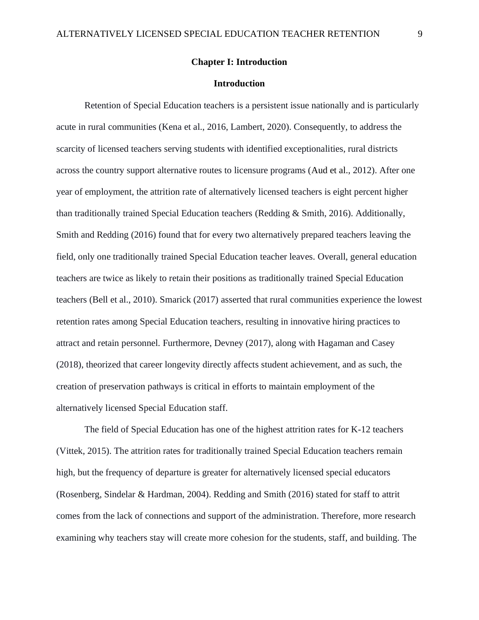# **Chapter I: Introduction**

# **Introduction**

Retention of Special Education teachers is a persistent issue nationally and is particularly acute in rural communities (Kena et al., 2016, Lambert, 2020). Consequently, to address the scarcity of licensed teachers serving students with identified exceptionalities, rural districts across the country support alternative routes to licensure programs (Aud et al., 2012). After one year of employment, the attrition rate of alternatively licensed teachers is eight percent higher than traditionally trained Special Education teachers (Redding & Smith, 2016). Additionally, Smith and Redding (2016) found that for every two alternatively prepared teachers leaving the field, only one traditionally trained Special Education teacher leaves. Overall, general education teachers are twice as likely to retain their positions as traditionally trained Special Education teachers (Bell et al., 2010). Smarick (2017) asserted that rural communities experience the lowest retention rates among Special Education teachers, resulting in innovative hiring practices to attract and retain personnel. Furthermore, Devney (2017), along with Hagaman and Casey (2018), theorized that career longevity directly affects student achievement, and as such, the creation of preservation pathways is critical in efforts to maintain employment of the alternatively licensed Special Education staff.

The field of Special Education has one of the highest attrition rates for K-12 teachers (Vittek, 2015). The attrition rates for traditionally trained Special Education teachers remain high, but the frequency of departure is greater for alternatively licensed special educators (Rosenberg, Sindelar & Hardman, 2004). Redding and Smith (2016) stated for staff to attrit comes from the lack of connections and support of the administration. Therefore, more research examining why teachers stay will create more cohesion for the students, staff, and building. The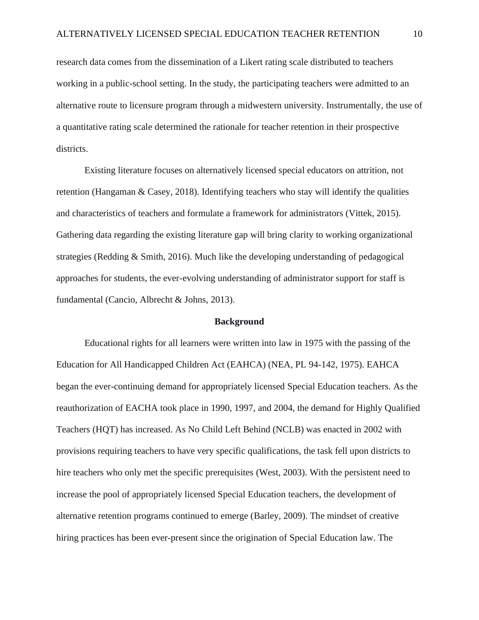research data comes from the dissemination of a Likert rating scale distributed to teachers working in a public-school setting. In the study, the participating teachers were admitted to an alternative route to licensure program through a midwestern university. Instrumentally, the use of a quantitative rating scale determined the rationale for teacher retention in their prospective districts.

Existing literature focuses on alternatively licensed special educators on attrition, not retention (Hangaman  $\&$  Casey, 2018). Identifying teachers who stay will identify the qualities and characteristics of teachers and formulate a framework for administrators (Vittek, 2015). Gathering data regarding the existing literature gap will bring clarity to working organizational strategies (Redding & Smith, 2016). Much like the developing understanding of pedagogical approaches for students, the ever-evolving understanding of administrator support for staff is fundamental (Cancio, Albrecht & Johns, 2013).

#### **Background**

Educational rights for all learners were written into law in 1975 with the passing of the Education for All Handicapped Children Act (EAHCA) (NEA, PL 94-142, 1975). EAHCA began the ever-continuing demand for appropriately licensed Special Education teachers. As the reauthorization of EACHA took place in 1990, 1997, and 2004, the demand for Highly Qualified Teachers (HQT) has increased. As No Child Left Behind (NCLB) was enacted in 2002 with provisions requiring teachers to have very specific qualifications, the task fell upon districts to hire teachers who only met the specific prerequisites (West, 2003). With the persistent need to increase the pool of appropriately licensed Special Education teachers, the development of alternative retention programs continued to emerge (Barley, 2009). The mindset of creative hiring practices has been ever-present since the origination of Special Education law. The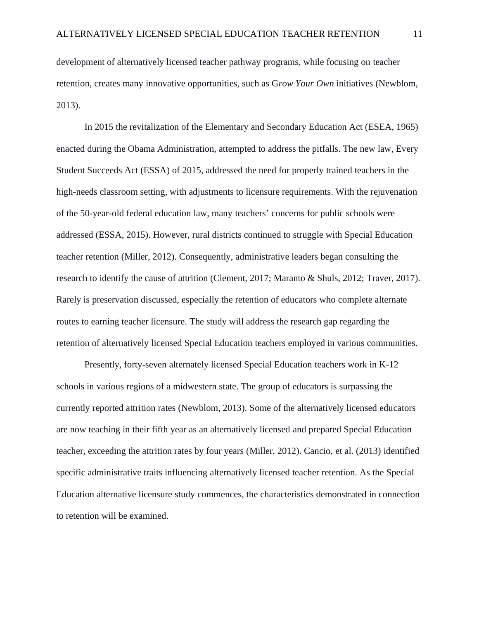development of alternatively licensed teacher pathway programs, while focusing on teacher retention, creates many innovative opportunities, such as G*row Your Own* initiatives (Newblom, 2013).

In 2015 the revitalization of the Elementary and Secondary Education Act (ESEA, 1965) enacted during the Obama Administration, attempted to address the pitfalls. The new law, Every Student Succeeds Act (ESSA) of 2015, addressed the need for properly trained teachers in the high-needs classroom setting, with adjustments to licensure requirements. With the rejuvenation of the 50-year-old federal education law, many teachers' concerns for public schools were addressed (ESSA, 2015). However, rural districts continued to struggle with Special Education teacher retention (Miller, 2012). Consequently, administrative leaders began consulting the research to identify the cause of attrition (Clement, 2017; Maranto & Shuls, 2012; Traver, 2017). Rarely is preservation discussed, especially the retention of educators who complete alternate routes to earning teacher licensure. The study will address the research gap regarding the retention of alternatively licensed Special Education teachers employed in various communities.

Presently, forty-seven alternately licensed Special Education teachers work in K-12 schools in various regions of a midwestern state. The group of educators is surpassing the currently reported attrition rates (Newblom, 2013). Some of the alternatively licensed educators are now teaching in their fifth year as an alternatively licensed and prepared Special Education teacher, exceeding the attrition rates by four years (Miller, 2012). Cancio, et al. (2013) identified specific administrative traits influencing alternatively licensed teacher retention. As the Special Education alternative licensure study commences, the characteristics demonstrated in connection to retention will be examined.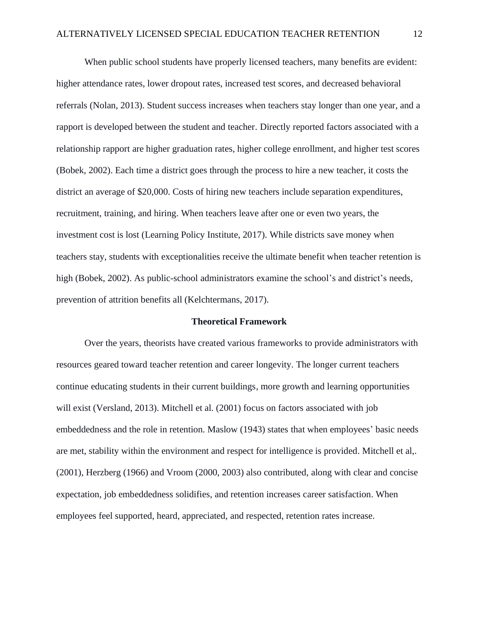When public school students have properly licensed teachers, many benefits are evident: higher attendance rates, lower dropout rates, increased test scores, and decreased behavioral referrals (Nolan, 2013). Student success increases when teachers stay longer than one year, and a rapport is developed between the student and teacher. Directly reported factors associated with a relationship rapport are higher graduation rates, higher college enrollment, and higher test scores (Bobek, 2002). Each time a district goes through the process to hire a new teacher, it costs the district an average of \$20,000. Costs of hiring new teachers include separation expenditures, recruitment, training, and hiring. When teachers leave after one or even two years, the investment cost is lost (Learning Policy Institute, 2017). While districts save money when teachers stay, students with exceptionalities receive the ultimate benefit when teacher retention is high (Bobek, 2002). As public-school administrators examine the school's and district's needs, prevention of attrition benefits all (Kelchtermans, 2017).

#### **Theoretical Framework**

Over the years, theorists have created various frameworks to provide administrators with resources geared toward teacher retention and career longevity. The longer current teachers continue educating students in their current buildings, more growth and learning opportunities will exist (Versland, 2013). Mitchell et al. (2001) focus on factors associated with job embeddedness and the role in retention. Maslow (1943) states that when employees' basic needs are met, stability within the environment and respect for intelligence is provided. Mitchell et al,. (2001), Herzberg (1966) and Vroom (2000, 2003) also contributed, along with clear and concise expectation, job embeddedness solidifies, and retention increases career satisfaction. When employees feel supported, heard, appreciated, and respected, retention rates increase.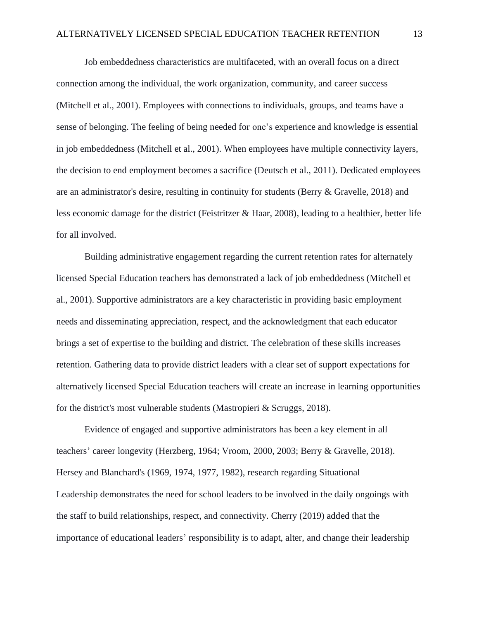Job embeddedness characteristics are multifaceted, with an overall focus on a direct connection among the individual, the work organization, community, and career success (Mitchell et al., 2001). Employees with connections to individuals, groups, and teams have a sense of belonging. The feeling of being needed for one's experience and knowledge is essential in job embeddedness (Mitchell et al., 2001). When employees have multiple connectivity layers, the decision to end employment becomes a sacrifice (Deutsch et al., 2011). Dedicated employees are an administrator's desire, resulting in continuity for students (Berry & Gravelle, 2018) and less economic damage for the district (Feistritzer & Haar, 2008), leading to a healthier, better life for all involved.

Building administrative engagement regarding the current retention rates for alternately licensed Special Education teachers has demonstrated a lack of job embeddedness (Mitchell et al., 2001). Supportive administrators are a key characteristic in providing basic employment needs and disseminating appreciation, respect, and the acknowledgment that each educator brings a set of expertise to the building and district. The celebration of these skills increases retention. Gathering data to provide district leaders with a clear set of support expectations for alternatively licensed Special Education teachers will create an increase in learning opportunities for the district's most vulnerable students (Mastropieri & Scruggs, 2018).

Evidence of engaged and supportive administrators has been a key element in all teachers' career longevity (Herzberg, 1964; Vroom, 2000, 2003; Berry & Gravelle, 2018). Hersey and Blanchard's (1969, 1974, 1977, 1982), research regarding Situational Leadership demonstrates the need for school leaders to be involved in the daily ongoings with the staff to build relationships, respect, and connectivity. Cherry (2019) added that the importance of educational leaders' responsibility is to adapt, alter, and change their leadership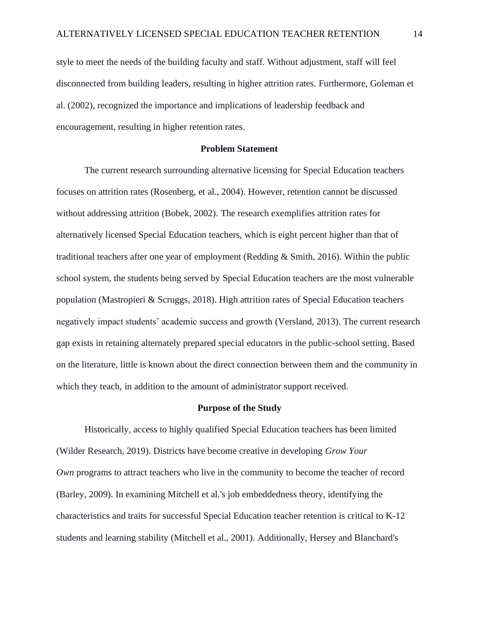style to meet the needs of the building faculty and staff. Without adjustment, staff will feel disconnected from building leaders, resulting in higher attrition rates. Furthermore, Goleman et al. (2002), recognized the importance and implications of leadership feedback and encouragement, resulting in higher retention rates.

# **Problem Statement**

The current research surrounding alternative licensing for Special Education teachers focuses on attrition rates (Rosenberg, et al., 2004). However, retention cannot be discussed without addressing attrition (Bobek, 2002). The research exemplifies attrition rates for alternatively licensed Special Education teachers, which is eight percent higher than that of traditional teachers after one year of employment (Redding & Smith, 2016). Within the public school system, the students being served by Special Education teachers are the most vulnerable population (Mastropieri & Scruggs, 2018). High attrition rates of Special Education teachers negatively impact students' academic success and growth (Versland, 2013). The current research gap exists in retaining alternately prepared special educators in the public-school setting. Based on the literature, little is known about the direct connection between them and the community in which they teach, in addition to the amount of administrator support received.

#### **Purpose of the Study**

Historically, access to highly qualified Special Education teachers has been limited (Wilder Research, 2019). Districts have become creative in developing *Grow Your Own* programs to attract teachers who live in the community to become the teacher of record (Barley, 2009). In examining Mitchell et al.'s job embeddedness theory, identifying the characteristics and traits for successful Special Education teacher retention is critical to K-12 students and learning stability (Mitchell et al., 2001). Additionally, Hersey and Blanchard's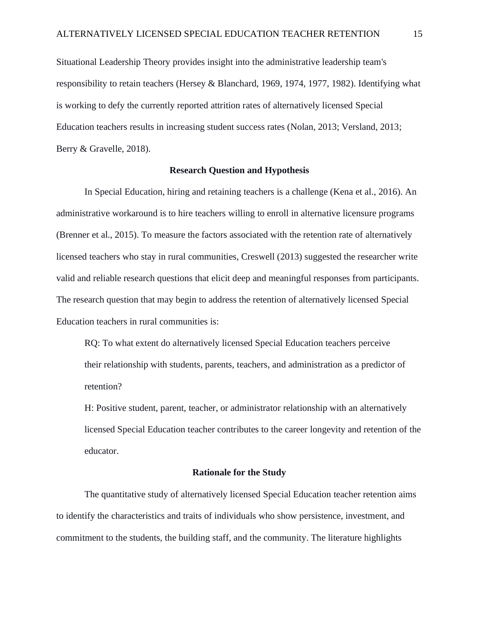Situational Leadership Theory provides insight into the administrative leadership team's responsibility to retain teachers (Hersey & Blanchard, 1969, 1974, 1977, 1982). Identifying what is working to defy the currently reported attrition rates of alternatively licensed Special Education teachers results in increasing student success rates (Nolan, 2013; Versland, 2013; Berry & Gravelle, 2018).

# **Research Question and Hypothesis**

In Special Education, hiring and retaining teachers is a challenge (Kena et al., 2016). An administrative workaround is to hire teachers willing to enroll in alternative licensure programs (Brenner et al., 2015). To measure the factors associated with the retention rate of alternatively licensed teachers who stay in rural communities, Creswell (2013) suggested the researcher write valid and reliable research questions that elicit deep and meaningful responses from participants. The research question that may begin to address the retention of alternatively licensed Special Education teachers in rural communities is:

RQ: To what extent do alternatively licensed Special Education teachers perceive their relationship with students, parents, teachers, and administration as a predictor of retention?

H: Positive student, parent, teacher, or administrator relationship with an alternatively licensed Special Education teacher contributes to the career longevity and retention of the educator.

#### **Rationale for the Study**

The quantitative study of alternatively licensed Special Education teacher retention aims to identify the characteristics and traits of individuals who show persistence, investment, and commitment to the students, the building staff, and the community. The literature highlights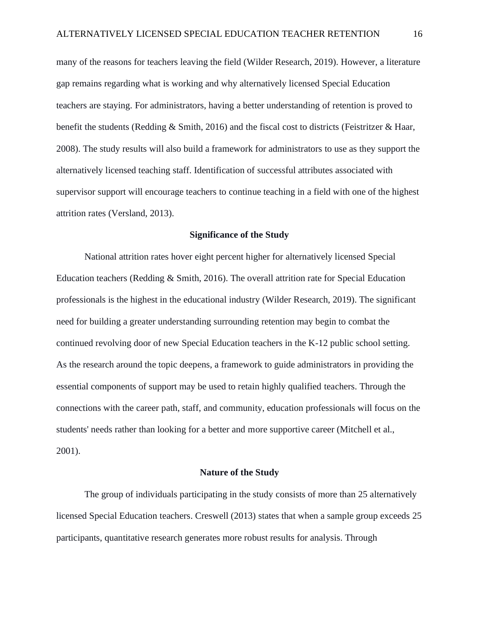many of the reasons for teachers leaving the field (Wilder Research, 2019). However, a literature gap remains regarding what is working and why alternatively licensed Special Education teachers are staying. For administrators, having a better understanding of retention is proved to benefit the students (Redding & Smith, 2016) and the fiscal cost to districts (Feistritzer & Haar, 2008). The study results will also build a framework for administrators to use as they support the alternatively licensed teaching staff. Identification of successful attributes associated with supervisor support will encourage teachers to continue teaching in a field with one of the highest attrition rates (Versland, 2013).

# **Significance of the Study**

National attrition rates hover eight percent higher for alternatively licensed Special Education teachers (Redding & Smith, 2016). The overall attrition rate for Special Education professionals is the highest in the educational industry (Wilder Research, 2019). The significant need for building a greater understanding surrounding retention may begin to combat the continued revolving door of new Special Education teachers in the K-12 public school setting. As the research around the topic deepens, a framework to guide administrators in providing the essential components of support may be used to retain highly qualified teachers. Through the connections with the career path, staff, and community, education professionals will focus on the students' needs rather than looking for a better and more supportive career (Mitchell et al., 2001).

#### **Nature of the Study**

The group of individuals participating in the study consists of more than 25 alternatively licensed Special Education teachers. Creswell (2013) states that when a sample group exceeds 25 participants, quantitative research generates more robust results for analysis. Through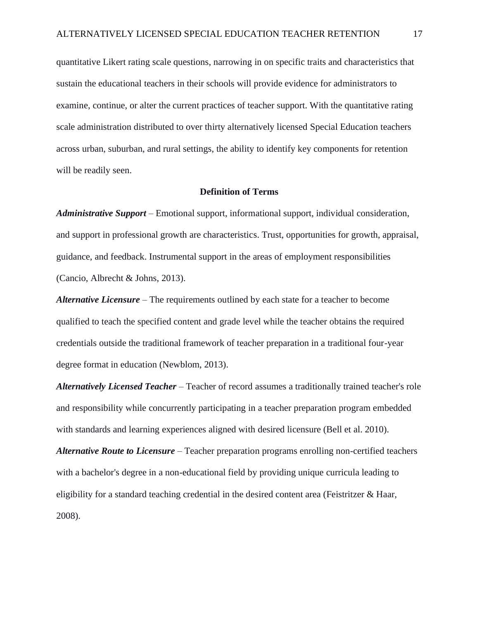quantitative Likert rating scale questions, narrowing in on specific traits and characteristics that sustain the educational teachers in their schools will provide evidence for administrators to examine, continue, or alter the current practices of teacher support. With the quantitative rating scale administration distributed to over thirty alternatively licensed Special Education teachers across urban, suburban, and rural settings, the ability to identify key components for retention will be readily seen.

#### **Definition of Terms**

*Administrative Support* – Emotional support, informational support, individual consideration, and support in professional growth are characteristics. Trust, opportunities for growth, appraisal, guidance, and feedback. Instrumental support in the areas of employment responsibilities (Cancio, Albrecht & Johns, 2013).

*Alternative Licensure* – The requirements outlined by each state for a teacher to become qualified to teach the specified content and grade level while the teacher obtains the required credentials outside the traditional framework of teacher preparation in a traditional four-year degree format in education (Newblom, 2013).

*Alternatively Licensed Teacher* – Teacher of record assumes a traditionally trained teacher's role and responsibility while concurrently participating in a teacher preparation program embedded with standards and learning experiences aligned with desired licensure (Bell et al. 2010).

*Alternative Route to Licensure* – Teacher preparation programs enrolling non-certified teachers with a bachelor's degree in a non-educational field by providing unique curricula leading to eligibility for a standard teaching credential in the desired content area (Feistritzer & Haar, 2008).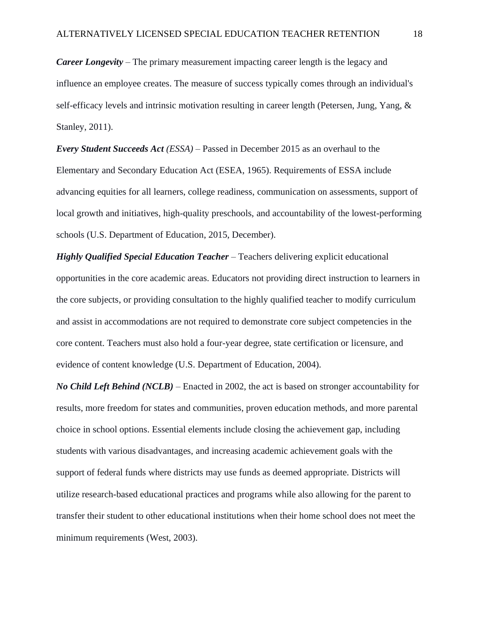*Career Longevity* – The primary measurement impacting career length is the legacy and influence an employee creates. The measure of success typically comes through an individual's self-efficacy levels and intrinsic motivation resulting in career length (Petersen, Jung, Yang, & Stanley, 2011).

*Every Student Succeeds Act (ESSA)* – Passed in December 2015 as an overhaul to the Elementary and Secondary Education Act (ESEA, 1965). Requirements of ESSA include advancing equities for all learners, college readiness, communication on assessments, support of local growth and initiatives, high-quality preschools, and accountability of the lowest-performing schools (U.S. Department of Education, 2015, December).

*Highly Qualified Special Education Teacher* – Teachers delivering explicit educational opportunities in the core academic areas. Educators not providing direct instruction to learners in the core subjects, or providing consultation to the highly qualified teacher to modify curriculum and assist in accommodations are not required to demonstrate core subject competencies in the core content. Teachers must also hold a four-year degree, state certification or licensure, and evidence of content knowledge (U.S. Department of Education, 2004).

*No Child Left Behind (NCLB) –* Enacted in 2002, the act is based on stronger accountability for results, more freedom for states and communities, proven education methods, and more parental choice in school options. Essential elements include closing the achievement gap, including students with various disadvantages, and increasing academic achievement goals with the support of federal funds where districts may use funds as deemed appropriate. Districts will utilize research-based educational practices and programs while also allowing for the parent to transfer their student to other educational institutions when their home school does not meet the minimum requirements (West, 2003).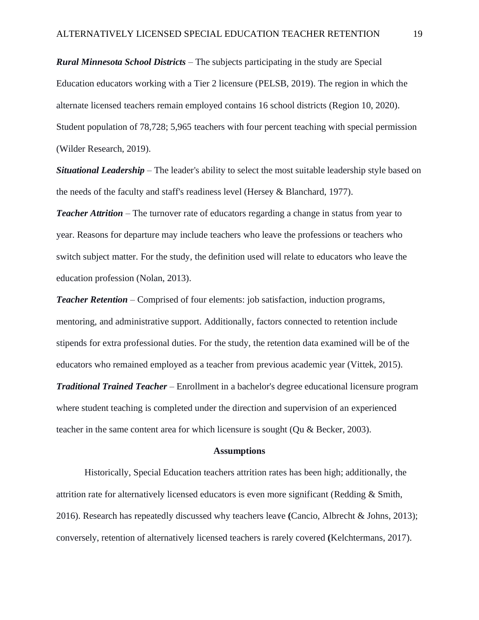*Rural Minnesota School Districts* – The subjects participating in the study are Special Education educators working with a Tier 2 licensure (PELSB, 2019). The region in which the alternate licensed teachers remain employed contains 16 school districts (Region 10, 2020). Student population of 78,728; 5,965 teachers with four percent teaching with special permission (Wilder Research, 2019).

*Situational Leadership* – The leader's ability to select the most suitable leadership style based on the needs of the faculty and staff's readiness level (Hersey & Blanchard, 1977).

*Teacher Attrition* – The turnover rate of educators regarding a change in status from year to year. Reasons for departure may include teachers who leave the professions or teachers who switch subject matter. For the study, the definition used will relate to educators who leave the education profession (Nolan, 2013).

*Teacher Retention* – Comprised of four elements: job satisfaction, induction programs, mentoring, and administrative support. Additionally, factors connected to retention include stipends for extra professional duties. For the study, the retention data examined will be of the educators who remained employed as a teacher from previous academic year (Vittek, 2015). *Traditional Trained Teacher* – Enrollment in a bachelor's degree educational licensure program where student teaching is completed under the direction and supervision of an experienced teacher in the same content area for which licensure is sought (Qu & Becker, 2003).

#### **Assumptions**

Historically, Special Education teachers attrition rates has been high; additionally, the attrition rate for alternatively licensed educators is even more significant (Redding & Smith, 2016). Research has repeatedly discussed why teachers leave **(**Cancio, Albrecht & Johns, 2013); conversely, retention of alternatively licensed teachers is rarely covered **(**Kelchtermans, 2017).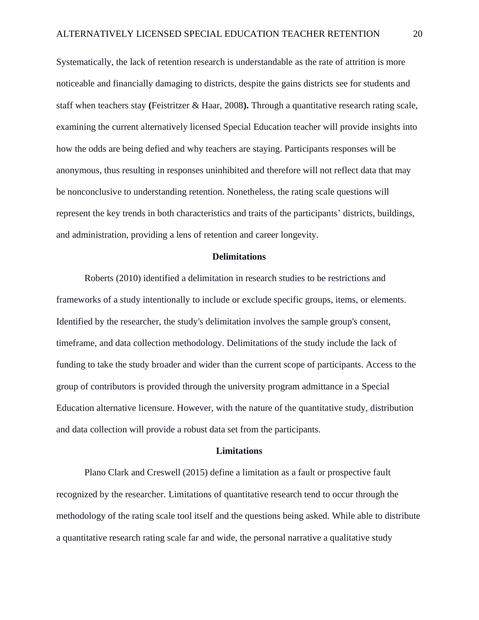Systematically, the lack of retention research is understandable as the rate of attrition is more noticeable and financially damaging to districts, despite the gains districts see for students and staff when teachers stay **(**Feistritzer & Haar, 2008**).** Through a quantitative research rating scale, examining the current alternatively licensed Special Education teacher will provide insights into how the odds are being defied and why teachers are staying. Participants responses will be anonymous, thus resulting in responses uninhibited and therefore will not reflect data that may be nonconclusive to understanding retention. Nonetheless, the rating scale questions will represent the key trends in both characteristics and traits of the participants' districts, buildings, and administration, providing a lens of retention and career longevity.

# **Delimitations**

Roberts (2010) identified a delimitation in research studies to be restrictions and frameworks of a study intentionally to include or exclude specific groups, items, or elements. Identified by the researcher, the study's delimitation involves the sample group's consent, timeframe, and data collection methodology. Delimitations of the study include the lack of funding to take the study broader and wider than the current scope of participants. Access to the group of contributors is provided through the university program admittance in a Special Education alternative licensure. However, with the nature of the quantitative study, distribution and data collection will provide a robust data set from the participants.

#### **Limitations**

Plano Clark and Creswell (2015) define a limitation as a fault or prospective fault recognized by the researcher. Limitations of quantitative research tend to occur through the methodology of the rating scale tool itself and the questions being asked. While able to distribute a quantitative research rating scale far and wide, the personal narrative a qualitative study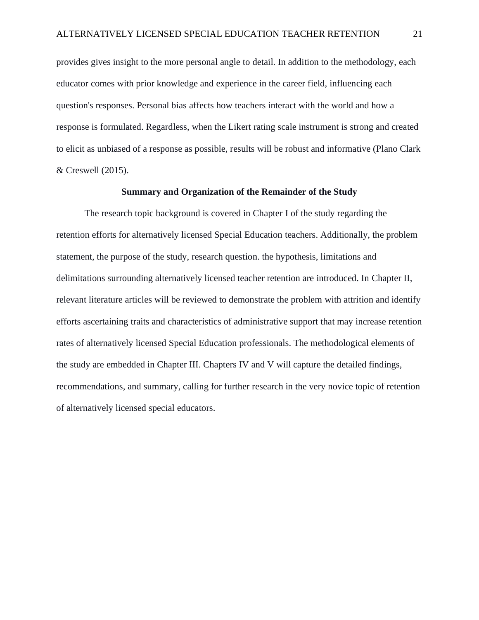provides gives insight to the more personal angle to detail. In addition to the methodology, each educator comes with prior knowledge and experience in the career field, influencing each question's responses. Personal bias affects how teachers interact with the world and how a response is formulated. Regardless, when the Likert rating scale instrument is strong and created to elicit as unbiased of a response as possible, results will be robust and informative (Plano Clark & Creswell (2015).

# **Summary and Organization of the Remainder of the Study**

The research topic background is covered in Chapter I of the study regarding the retention efforts for alternatively licensed Special Education teachers. Additionally, the problem statement, the purpose of the study, research question. the hypothesis, limitations and delimitations surrounding alternatively licensed teacher retention are introduced. In Chapter II, relevant literature articles will be reviewed to demonstrate the problem with attrition and identify efforts ascertaining traits and characteristics of administrative support that may increase retention rates of alternatively licensed Special Education professionals. The methodological elements of the study are embedded in Chapter III. Chapters IV and V will capture the detailed findings, recommendations, and summary, calling for further research in the very novice topic of retention of alternatively licensed special educators.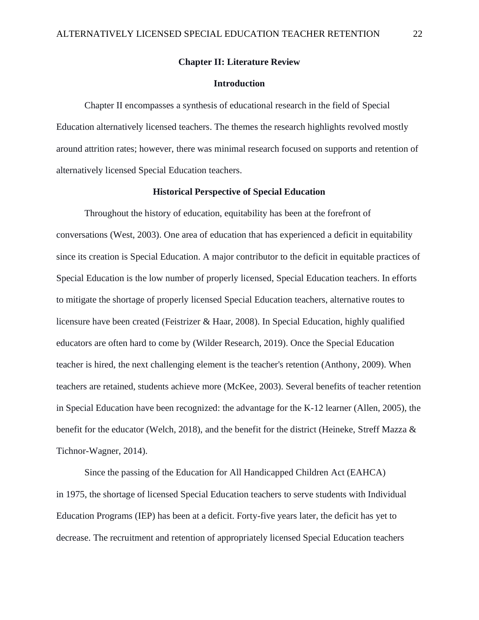# **Chapter II: Literature Review**

# **Introduction**

Chapter II encompasses a synthesis of educational research in the field of Special Education alternatively licensed teachers. The themes the research highlights revolved mostly around attrition rates; however, there was minimal research focused on supports and retention of alternatively licensed Special Education teachers.

# **Historical Perspective of Special Education**

Throughout the history of education, equitability has been at the forefront of conversations (West, 2003). One area of education that has experienced a deficit in equitability since its creation is Special Education. A major contributor to the deficit in equitable practices of Special Education is the low number of properly licensed, Special Education teachers. In efforts to mitigate the shortage of properly licensed Special Education teachers, alternative routes to licensure have been created (Feistrizer & Haar, 2008). In Special Education, highly qualified educators are often hard to come by (Wilder Research, 2019). Once the Special Education teacher is hired, the next challenging element is the teacher's retention (Anthony, 2009). When teachers are retained, students achieve more (McKee, 2003). Several benefits of teacher retention in Special Education have been recognized: the advantage for the K-12 learner (Allen, 2005), the benefit for the educator (Welch, 2018), and the benefit for the district (Heineke, Streff Mazza & Tichnor-Wagner, 2014).

Since the passing of the Education for All Handicapped Children Act (EAHCA) in 1975, the shortage of licensed Special Education teachers to serve students with Individual Education Programs (IEP) has been at a deficit. Forty-five years later, the deficit has yet to decrease. The recruitment and retention of appropriately licensed Special Education teachers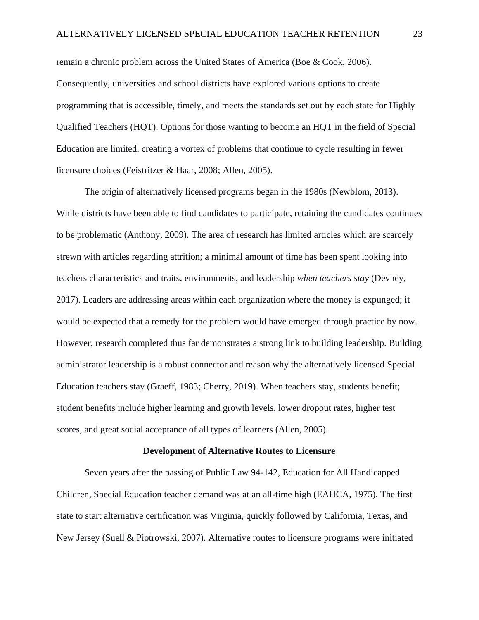remain a chronic problem across the United States of America (Boe & Cook, 2006). Consequently, universities and school districts have explored various options to create programming that is accessible, timely, and meets the standards set out by each state for Highly Qualified Teachers (HQT). Options for those wanting to become an HQT in the field of Special Education are limited, creating a vortex of problems that continue to cycle resulting in fewer licensure choices (Feistritzer & Haar, 2008; Allen, 2005).

The origin of alternatively licensed programs began in the 1980s (Newblom, 2013). While districts have been able to find candidates to participate, retaining the candidates continues to be problematic (Anthony, 2009). The area of research has limited articles which are scarcely strewn with articles regarding attrition; a minimal amount of time has been spent looking into teachers characteristics and traits, environments, and leadership *when teachers stay* (Devney, 2017). Leaders are addressing areas within each organization where the money is expunged; it would be expected that a remedy for the problem would have emerged through practice by now. However, research completed thus far demonstrates a strong link to building leadership. Building administrator leadership is a robust connector and reason why the alternatively licensed Special Education teachers stay (Graeff, 1983; Cherry, 2019). When teachers stay, students benefit; student benefits include higher learning and growth levels, lower dropout rates, higher test scores, and great social acceptance of all types of learners (Allen, 2005).

# **Development of Alternative Routes to Licensure**

Seven years after the passing of Public Law 94-142, Education for All Handicapped Children, Special Education teacher demand was at an all-time high (EAHCA, 1975). The first state to start alternative certification was Virginia, quickly followed by California, Texas, and New Jersey (Suell & Piotrowski, 2007). Alternative routes to licensure programs were initiated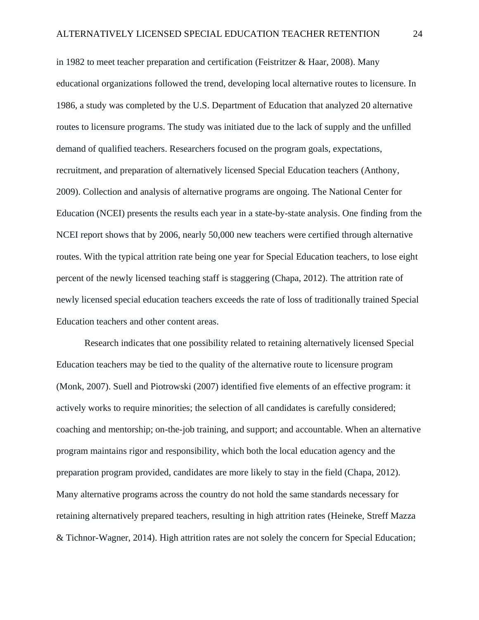in 1982 to meet teacher preparation and certification (Feistritzer  $\&$  Haar, 2008). Many educational organizations followed the trend, developing local alternative routes to licensure. In 1986, a study was completed by the U.S. Department of Education that analyzed 20 alternative routes to licensure programs. The study was initiated due to the lack of supply and the unfilled demand of qualified teachers. Researchers focused on the program goals, expectations, recruitment, and preparation of alternatively licensed Special Education teachers (Anthony, 2009). Collection and analysis of alternative programs are ongoing. The National Center for Education (NCEI) presents the results each year in a state-by-state analysis. One finding from the NCEI report shows that by 2006, nearly 50,000 new teachers were certified through alternative routes. With the typical attrition rate being one year for Special Education teachers, to lose eight percent of the newly licensed teaching staff is staggering (Chapa, 2012). The attrition rate of newly licensed special education teachers exceeds the rate of loss of traditionally trained Special Education teachers and other content areas.

Research indicates that one possibility related to retaining alternatively licensed Special Education teachers may be tied to the quality of the alternative route to licensure program (Monk, 2007). Suell and Piotrowski (2007) identified five elements of an effective program: it actively works to require minorities; the selection of all candidates is carefully considered; coaching and mentorship; on-the-job training, and support; and accountable. When an alternative program maintains rigor and responsibility, which both the local education agency and the preparation program provided, candidates are more likely to stay in the field (Chapa, 2012). Many alternative programs across the country do not hold the same standards necessary for retaining alternatively prepared teachers, resulting in high attrition rates (Heineke, Streff Mazza & Tichnor-Wagner, 2014). High attrition rates are not solely the concern for Special Education;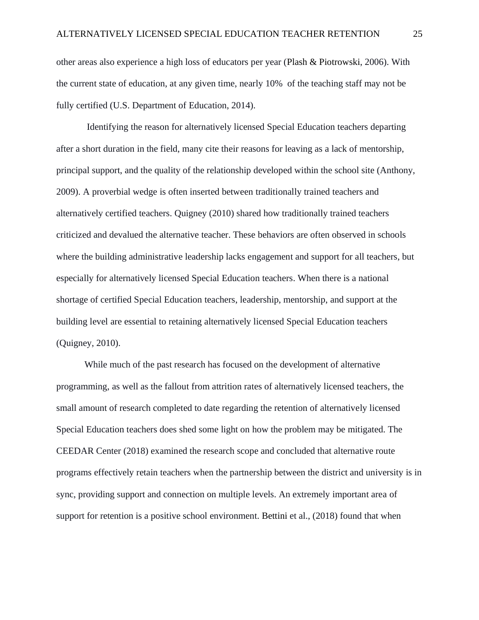other areas also experience a high loss of educators per year (Plash & Piotrowski, 2006). With the current state of education, at any given time, nearly 10% of the teaching staff may not be fully certified (U.S. Department of Education, 2014).

Identifying the reason for alternatively licensed Special Education teachers departing after a short duration in the field, many cite their reasons for leaving as a lack of mentorship, principal support, and the quality of the relationship developed within the school site (Anthony, 2009). A proverbial wedge is often inserted between traditionally trained teachers and alternatively certified teachers. Quigney (2010) shared how traditionally trained teachers criticized and devalued the alternative teacher. These behaviors are often observed in schools where the building administrative leadership lacks engagement and support for all teachers, but especially for alternatively licensed Special Education teachers. When there is a national shortage of certified Special Education teachers, leadership, mentorship, and support at the building level are essential to retaining alternatively licensed Special Education teachers (Quigney, 2010).

While much of the past research has focused on the development of alternative programming, as well as the fallout from attrition rates of alternatively licensed teachers, the small amount of research completed to date regarding the retention of alternatively licensed Special Education teachers does shed some light on how the problem may be mitigated. The CEEDAR Center (2018) examined the research scope and concluded that alternative route programs effectively retain teachers when the partnership between the district and university is in sync, providing support and connection on multiple levels. An extremely important area of support for retention is a positive school environment. Bettini et al., (2018) found that when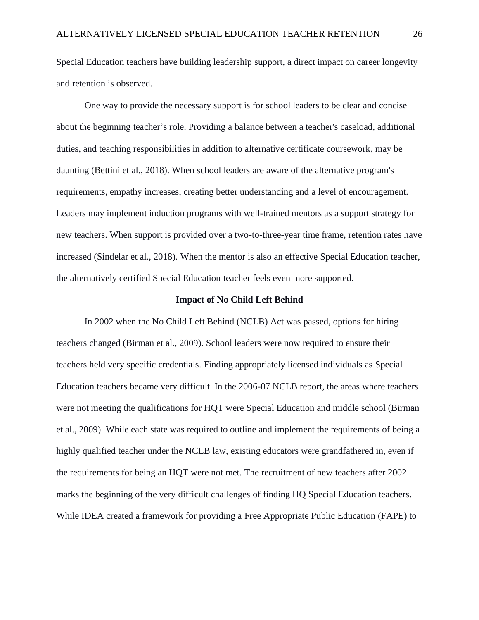Special Education teachers have building leadership support, a direct impact on career longevity and retention is observed.

One way to provide the necessary support is for school leaders to be clear and concise about the beginning teacher's role. Providing a balance between a teacher's caseload, additional duties, and teaching responsibilities in addition to alternative certificate coursework, may be daunting (Bettini et al., 2018). When school leaders are aware of the alternative program's requirements, empathy increases, creating better understanding and a level of encouragement. Leaders may implement induction programs with well-trained mentors as a support strategy for new teachers. When support is provided over a two-to-three-year time frame, retention rates have increased (Sindelar et al., 2018). When the mentor is also an effective Special Education teacher, the alternatively certified Special Education teacher feels even more supported.

#### **Impact of No Child Left Behind**

In 2002 when the No Child Left Behind (NCLB) Act was passed, options for hiring teachers changed (Birman et al., 2009). School leaders were now required to ensure their teachers held very specific credentials. Finding appropriately licensed individuals as Special Education teachers became very difficult. In the 2006-07 NCLB report, the areas where teachers were not meeting the qualifications for HQT were Special Education and middle school (Birman et al., 2009). While each state was required to outline and implement the requirements of being a highly qualified teacher under the NCLB law, existing educators were grandfathered in, even if the requirements for being an HQT were not met. The recruitment of new teachers after 2002 marks the beginning of the very difficult challenges of finding HQ Special Education teachers. While IDEA created a framework for providing a Free Appropriate Public Education (FAPE) to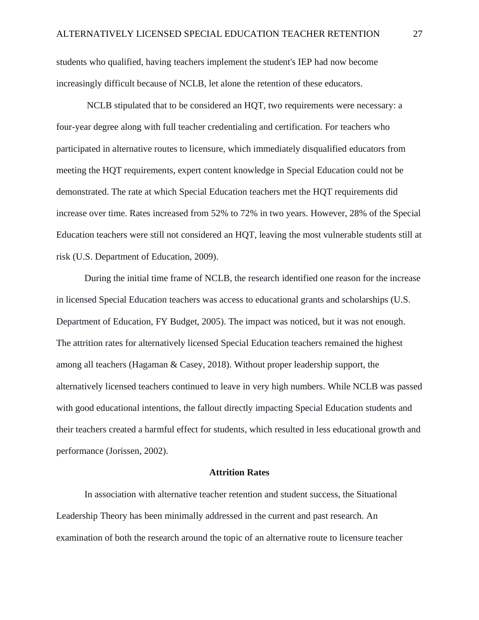students who qualified, having teachers implement the student's IEP had now become increasingly difficult because of NCLB, let alone the retention of these educators.

NCLB stipulated that to be considered an HQT, two requirements were necessary: a four-year degree along with full teacher credentialing and certification. For teachers who participated in alternative routes to licensure, which immediately disqualified educators from meeting the HQT requirements, expert content knowledge in Special Education could not be demonstrated. The rate at which Special Education teachers met the HQT requirements did increase over time. Rates increased from 52% to 72% in two years. However, 28% of the Special Education teachers were still not considered an HQT, leaving the most vulnerable students still at risk (U.S. Department of Education, 2009).

During the initial time frame of NCLB, the research identified one reason for the increase in licensed Special Education teachers was access to educational grants and scholarships (U.S. Department of Education, FY Budget, 2005). The impact was noticed, but it was not enough. The attrition rates for alternatively licensed Special Education teachers remained the highest among all teachers (Hagaman & Casey, 2018). Without proper leadership support, the alternatively licensed teachers continued to leave in very high numbers. While NCLB was passed with good educational intentions, the fallout directly impacting Special Education students and their teachers created a harmful effect for students, which resulted in less educational growth and performance (Jorissen, 2002).

#### **Attrition Rates**

In association with alternative teacher retention and student success, the Situational Leadership Theory has been minimally addressed in the current and past research. An examination of both the research around the topic of an alternative route to licensure teacher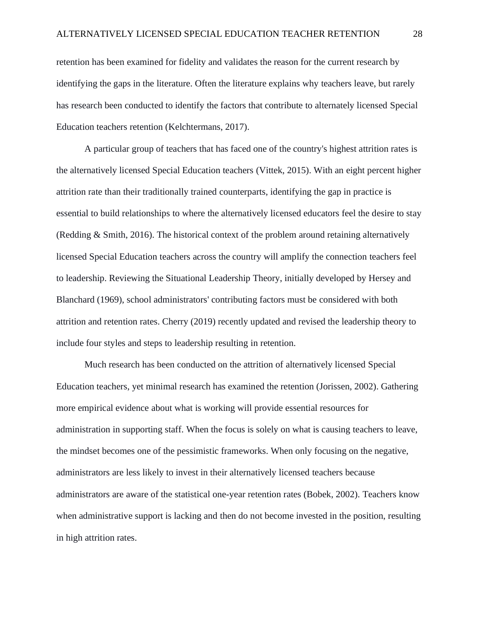retention has been examined for fidelity and validates the reason for the current research by identifying the gaps in the literature. Often the literature explains why teachers leave, but rarely has research been conducted to identify the factors that contribute to alternately licensed Special Education teachers retention (Kelchtermans, 2017).

A particular group of teachers that has faced one of the country's highest attrition rates is the alternatively licensed Special Education teachers (Vittek, 2015). With an eight percent higher attrition rate than their traditionally trained counterparts, identifying the gap in practice is essential to build relationships to where the alternatively licensed educators feel the desire to stay (Redding & Smith, 2016). The historical context of the problem around retaining alternatively licensed Special Education teachers across the country will amplify the connection teachers feel to leadership. Reviewing the Situational Leadership Theory, initially developed by Hersey and Blanchard (1969), school administrators' contributing factors must be considered with both attrition and retention rates. Cherry (2019) recently updated and revised the leadership theory to include four styles and steps to leadership resulting in retention.

Much research has been conducted on the attrition of alternatively licensed Special Education teachers, yet minimal research has examined the retention (Jorissen, 2002). Gathering more empirical evidence about what is working will provide essential resources for administration in supporting staff. When the focus is solely on what is causing teachers to leave, the mindset becomes one of the pessimistic frameworks. When only focusing on the negative, administrators are less likely to invest in their alternatively licensed teachers because administrators are aware of the statistical one-year retention rates (Bobek, 2002). Teachers know when administrative support is lacking and then do not become invested in the position, resulting in high attrition rates.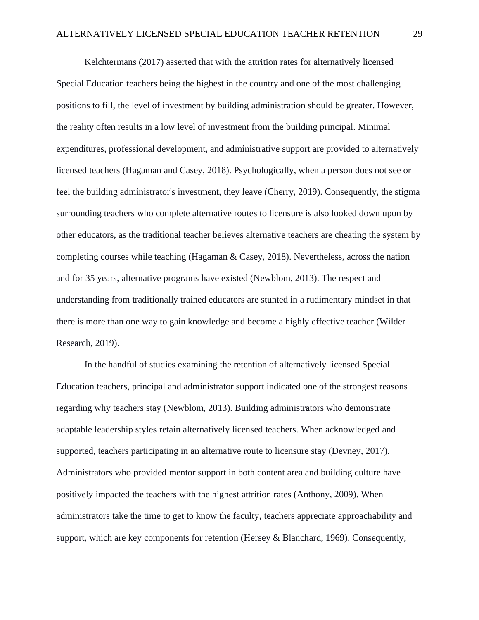Kelchtermans (2017) asserted that with the attrition rates for alternatively licensed Special Education teachers being the highest in the country and one of the most challenging positions to fill, the level of investment by building administration should be greater. However, the reality often results in a low level of investment from the building principal. Minimal expenditures, professional development, and administrative support are provided to alternatively licensed teachers (Hagaman and Casey, 2018). Psychologically, when a person does not see or feel the building administrator's investment, they leave (Cherry, 2019). Consequently, the stigma surrounding teachers who complete alternative routes to licensure is also looked down upon by other educators, as the traditional teacher believes alternative teachers are cheating the system by completing courses while teaching (Hagaman & Casey, 2018). Nevertheless, across the nation and for 35 years, alternative programs have existed (Newblom, 2013). The respect and understanding from traditionally trained educators are stunted in a rudimentary mindset in that there is more than one way to gain knowledge and become a highly effective teacher (Wilder Research, 2019).

In the handful of studies examining the retention of alternatively licensed Special Education teachers, principal and administrator support indicated one of the strongest reasons regarding why teachers stay (Newblom, 2013). Building administrators who demonstrate adaptable leadership styles retain alternatively licensed teachers. When acknowledged and supported, teachers participating in an alternative route to licensure stay (Devney, 2017). Administrators who provided mentor support in both content area and building culture have positively impacted the teachers with the highest attrition rates (Anthony, 2009). When administrators take the time to get to know the faculty, teachers appreciate approachability and support, which are key components for retention (Hersey & Blanchard, 1969). Consequently,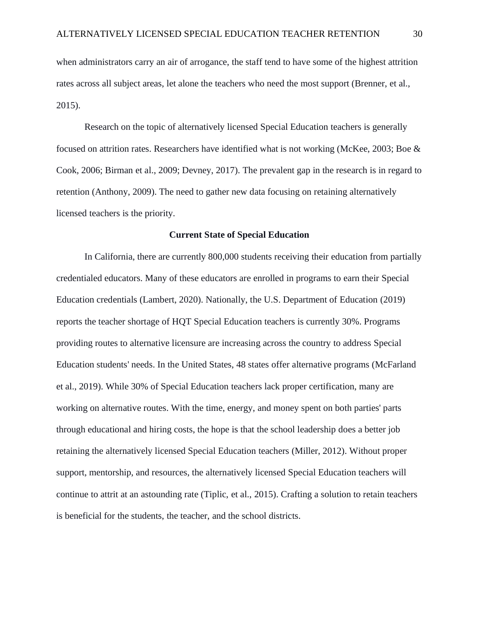when administrators carry an air of arrogance, the staff tend to have some of the highest attrition rates across all subject areas, let alone the teachers who need the most support (Brenner, et al., 2015).

Research on the topic of alternatively licensed Special Education teachers is generally focused on attrition rates. Researchers have identified what is not working (McKee, 2003; Boe & Cook, 2006; Birman et al., 2009; Devney, 2017). The prevalent gap in the research is in regard to retention (Anthony, 2009). The need to gather new data focusing on retaining alternatively licensed teachers is the priority.

#### **Current State of Special Education**

In California, there are currently 800,000 students receiving their education from partially credentialed educators. Many of these educators are enrolled in programs to earn their Special Education credentials (Lambert, 2020). Nationally, the U.S. Department of Education (2019) reports the teacher shortage of HQT Special Education teachers is currently 30%. Programs providing routes to alternative licensure are increasing across the country to address Special Education students' needs. In the United States, 48 states offer alternative programs (McFarland et al., 2019). While 30% of Special Education teachers lack proper certification, many are working on alternative routes. With the time, energy, and money spent on both parties' parts through educational and hiring costs, the hope is that the school leadership does a better job retaining the alternatively licensed Special Education teachers (Miller, 2012). Without proper support, mentorship, and resources, the alternatively licensed Special Education teachers will continue to attrit at an astounding rate (Tiplic, et al., 2015). Crafting a solution to retain teachers is beneficial for the students, the teacher, and the school districts.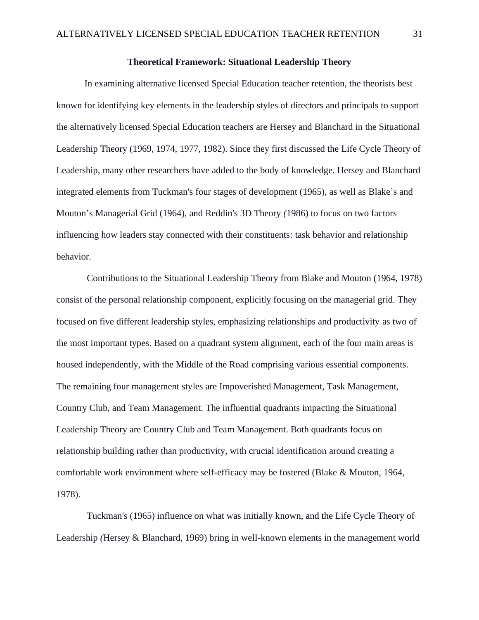# **Theoretical Framework: Situational Leadership Theory**

In examining alternative licensed Special Education teacher retention, the theorists best known for identifying key elements in the leadership styles of directors and principals to support the alternatively licensed Special Education teachers are Hersey and Blanchard in the Situational Leadership Theory (1969, 1974, 1977, 1982). Since they first discussed the Life Cycle Theory of Leadership*,* many other researchers have added to the body of knowledge. Hersey and Blanchard integrated elements from Tuckman's four stages of development (1965), as well as Blake's and Mouton's Managerial Grid (1964), and Reddin's 3D Theory *(*1986) to focus on two factors influencing how leaders stay connected with their constituents: task behavior and relationship behavior.

Contributions to the Situational Leadership Theory from Blake and Mouton (1964, 1978) consist of the personal relationship component, explicitly focusing on the managerial grid. They focused on five different leadership styles, emphasizing relationships and productivity as two of the most important types. Based on a quadrant system alignment, each of the four main areas is housed independently, with the Middle of the Road comprising various essential components. The remaining four management styles are Impoverished Management, Task Management, Country Club, and Team Management. The influential quadrants impacting the Situational Leadership Theory are Country Club and Team Management. Both quadrants focus on relationship building rather than productivity, with crucial identification around creating a comfortable work environment where self-efficacy may be fostered (Blake & Mouton, 1964, 1978).

Tuckman's (1965) influence on what was initially known, and the Life Cycle Theory of Leadership *(*Hersey & Blanchard, 1969) bring in well-known elements in the management world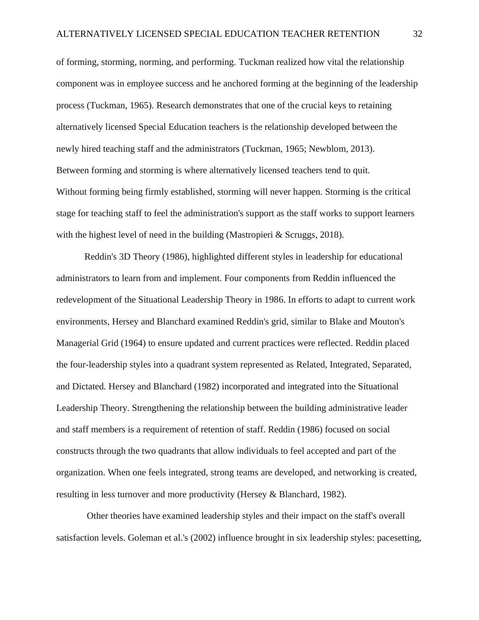of forming, storming, norming, and performing*.* Tuckman realized how vital the relationship component was in employee success and he anchored forming at the beginning of the leadership process (Tuckman, 1965). Research demonstrates that one of the crucial keys to retaining alternatively licensed Special Education teachers is the relationship developed between the newly hired teaching staff and the administrators (Tuckman, 1965; Newblom, 2013). Between forming and storming is where alternatively licensed teachers tend to quit. Without forming being firmly established, storming will never happen. Storming is the critical stage for teaching staff to feel the administration's support as the staff works to support learners with the highest level of need in the building (Mastropieri & Scruggs, 2018).

Reddin's 3D Theory (1986), highlighted different styles in leadership for educational administrators to learn from and implement. Four components from Reddin influenced the redevelopment of the Situational Leadership Theory in 1986. In efforts to adapt to current work environments, Hersey and Blanchard examined Reddin's grid, similar to Blake and Mouton's Managerial Grid (1964) to ensure updated and current practices were reflected. Reddin placed the four-leadership styles into a quadrant system represented as Related, Integrated, Separated, and Dictated. Hersey and Blanchard (1982) incorporated and integrated into the Situational Leadership Theory. Strengthening the relationship between the building administrative leader and staff members is a requirement of retention of staff. Reddin (1986) focused on social constructs through the two quadrants that allow individuals to feel accepted and part of the organization. When one feels integrated, strong teams are developed, and networking is created, resulting in less turnover and more productivity (Hersey & Blanchard, 1982).

Other theories have examined leadership styles and their impact on the staff's overall satisfaction levels. Goleman et al.'s (2002) influence brought in six leadership styles: pacesetting,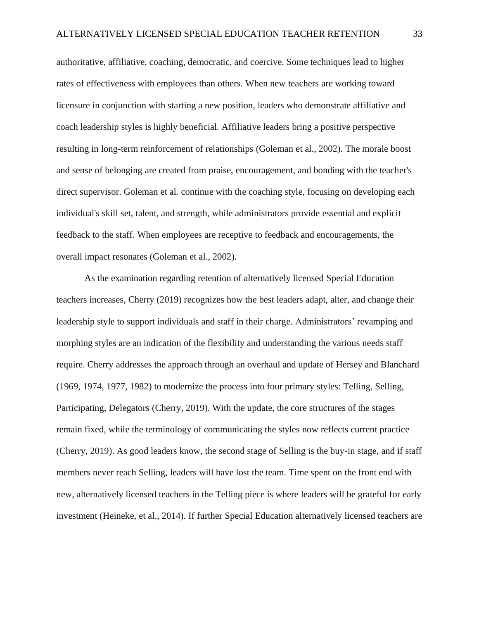authoritative, affiliative, coaching, democratic, and coercive. Some techniques lead to higher rates of effectiveness with employees than others. When new teachers are working toward licensure in conjunction with starting a new position, leaders who demonstrate affiliative and coach leadership styles is highly beneficial. Affiliative leaders bring a positive perspective resulting in long-term reinforcement of relationships (Goleman et al., 2002). The morale boost and sense of belonging are created from praise, encouragement, and bonding with the teacher's direct supervisor. Goleman et al. continue with the coaching style, focusing on developing each individual's skill set, talent, and strength, while administrators provide essential and explicit feedback to the staff. When employees are receptive to feedback and encouragements, the overall impact resonates (Goleman et al., 2002).

As the examination regarding retention of alternatively licensed Special Education teachers increases, Cherry (2019) recognizes how the best leaders adapt, alter, and change their leadership style to support individuals and staff in their charge. Administrators' revamping and morphing styles are an indication of the flexibility and understanding the various needs staff require. Cherry addresses the approach through an overhaul and update of Hersey and Blanchard (1969, 1974, 1977, 1982) to modernize the process into four primary styles: Telling, Selling, Participating, Delegators (Cherry, 2019). With the update, the core structures of the stages remain fixed, while the terminology of communicating the styles now reflects current practice (Cherry, 2019). As good leaders know, the second stage of Selling is the buy-in stage, and if staff members never reach Selling, leaders will have lost the team. Time spent on the front end with new, alternatively licensed teachers in the Telling piece is where leaders will be grateful for early investment (Heineke, et al., 2014). If further Special Education alternatively licensed teachers are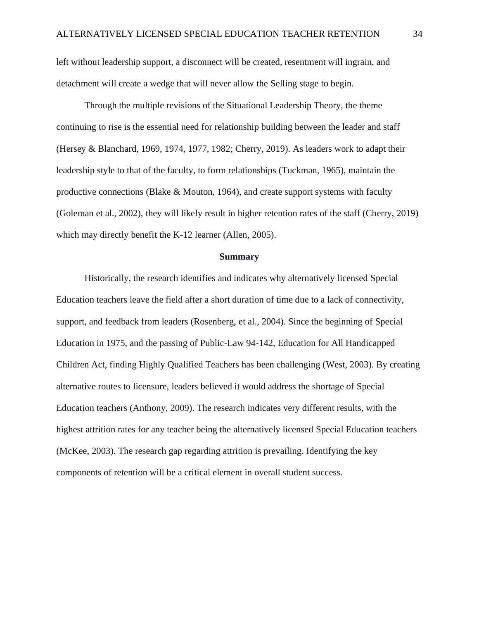left without leadership support, a disconnect will be created, resentment will ingrain, and detachment will create a wedge that will never allow the Selling stage to begin.

Through the multiple revisions of the Situational Leadership Theory, the theme continuing to rise is the essential need for relationship building between the leader and staff (Hersey & Blanchard, 1969, 1974, 1977, 1982; Cherry, 2019). As leaders work to adapt their leadership style to that of the faculty, to form relationships (Tuckman, 1965), maintain the productive connections (Blake & Mouton, 1964), and create support systems with faculty (Goleman et al., 2002), they will likely result in higher retention rates of the staff (Cherry, 2019) which may directly benefit the K-12 learner (Allen, 2005).

#### **Summary**

Historically, the research identifies and indicates why alternatively licensed Special Education teachers leave the field after a short duration of time due to a lack of connectivity, support, and feedback from leaders (Rosenberg, et al., 2004). Since the beginning of Special Education in 1975, and the passing of Public-Law 94-142, Education for All Handicapped Children Act, finding Highly Qualified Teachers has been challenging (West, 2003). By creating alternative routes to licensure, leaders believed it would address the shortage of Special Education teachers (Anthony, 2009). The research indicates very different results, with the highest attrition rates for any teacher being the alternatively licensed Special Education teachers (McKee, 2003). The research gap regarding attrition is prevailing. Identifying the key components of retention will be a critical element in overall student success.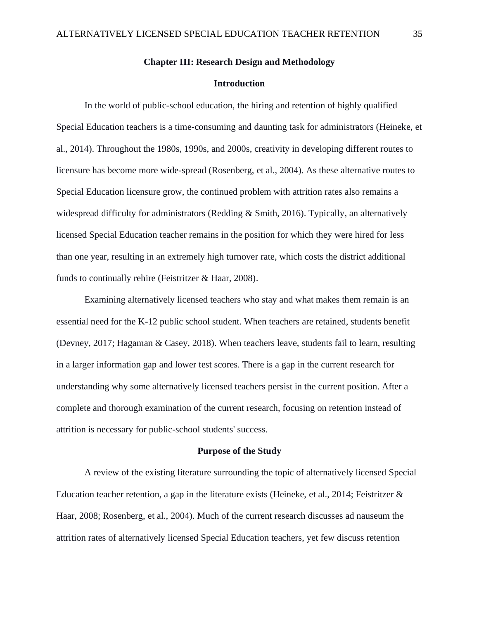# **Chapter III: Research Design and Methodology**

# **Introduction**

In the world of public-school education, the hiring and retention of highly qualified Special Education teachers is a time-consuming and daunting task for administrators (Heineke, et al., 2014). Throughout the 1980s, 1990s, and 2000s, creativity in developing different routes to licensure has become more wide-spread (Rosenberg, et al., 2004). As these alternative routes to Special Education licensure grow, the continued problem with attrition rates also remains a widespread difficulty for administrators (Redding & Smith, 2016). Typically, an alternatively licensed Special Education teacher remains in the position for which they were hired for less than one year, resulting in an extremely high turnover rate, which costs the district additional funds to continually rehire (Feistritzer & Haar, 2008).

Examining alternatively licensed teachers who stay and what makes them remain is an essential need for the K-12 public school student. When teachers are retained, students benefit (Devney, 2017; Hagaman & Casey, 2018). When teachers leave, students fail to learn, resulting in a larger information gap and lower test scores. There is a gap in the current research for understanding why some alternatively licensed teachers persist in the current position. After a complete and thorough examination of the current research, focusing on retention instead of attrition is necessary for public-school students' success.

#### **Purpose of the Study**

A review of the existing literature surrounding the topic of alternatively licensed Special Education teacher retention, a gap in the literature exists (Heineke, et al., 2014; Feistritzer & Haar, 2008; Rosenberg, et al., 2004). Much of the current research discusses ad nauseum the attrition rates of alternatively licensed Special Education teachers, yet few discuss retention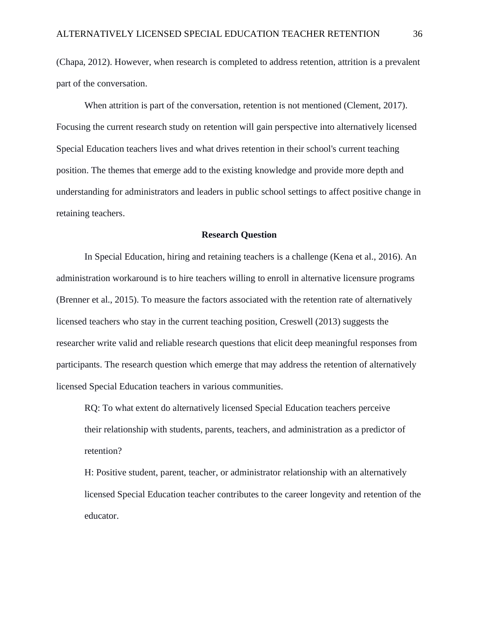(Chapa, 2012). However, when research is completed to address retention, attrition is a prevalent part of the conversation.

When attrition is part of the conversation, retention is not mentioned (Clement, 2017). Focusing the current research study on retention will gain perspective into alternatively licensed Special Education teachers lives and what drives retention in their school's current teaching position. The themes that emerge add to the existing knowledge and provide more depth and understanding for administrators and leaders in public school settings to affect positive change in retaining teachers.

## **Research Question**

In Special Education, hiring and retaining teachers is a challenge (Kena et al., 2016). An administration workaround is to hire teachers willing to enroll in alternative licensure programs (Brenner et al., 2015). To measure the factors associated with the retention rate of alternatively licensed teachers who stay in the current teaching position, Creswell (2013) suggests the researcher write valid and reliable research questions that elicit deep meaningful responses from participants. The research question which emerge that may address the retention of alternatively licensed Special Education teachers in various communities.

RQ: To what extent do alternatively licensed Special Education teachers perceive their relationship with students, parents, teachers, and administration as a predictor of retention?

H: Positive student, parent, teacher, or administrator relationship with an alternatively licensed Special Education teacher contributes to the career longevity and retention of the educator.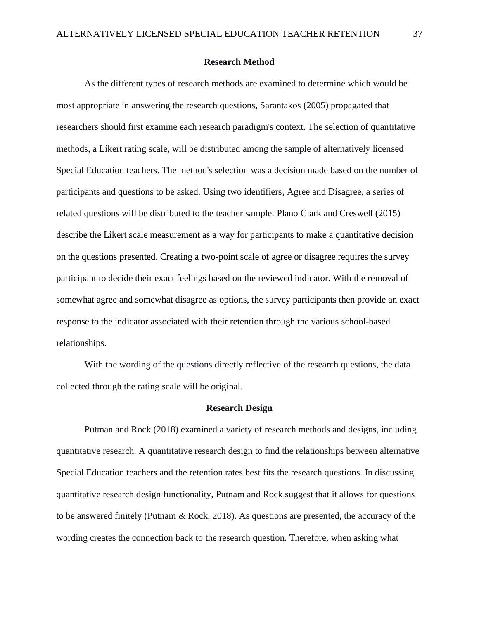# **Research Method**

As the different types of research methods are examined to determine which would be most appropriate in answering the research questions, Sarantakos (2005) propagated that researchers should first examine each research paradigm's context. The selection of quantitative methods, a Likert rating scale, will be distributed among the sample of alternatively licensed Special Education teachers. The method's selection was a decision made based on the number of participants and questions to be asked. Using two identifiers, Agree and Disagree, a series of related questions will be distributed to the teacher sample. Plano Clark and Creswell (2015) describe the Likert scale measurement as a way for participants to make a quantitative decision on the questions presented. Creating a two-point scale of agree or disagree requires the survey participant to decide their exact feelings based on the reviewed indicator. With the removal of somewhat agree and somewhat disagree as options, the survey participants then provide an exact response to the indicator associated with their retention through the various school-based relationships.

With the wording of the questions directly reflective of the research questions, the data collected through the rating scale will be original.

## **Research Design**

Putman and Rock (2018) examined a variety of research methods and designs, including quantitative research. A quantitative research design to find the relationships between alternative Special Education teachers and the retention rates best fits the research questions. In discussing quantitative research design functionality, Putnam and Rock suggest that it allows for questions to be answered finitely (Putnam & Rock, 2018). As questions are presented, the accuracy of the wording creates the connection back to the research question. Therefore, when asking what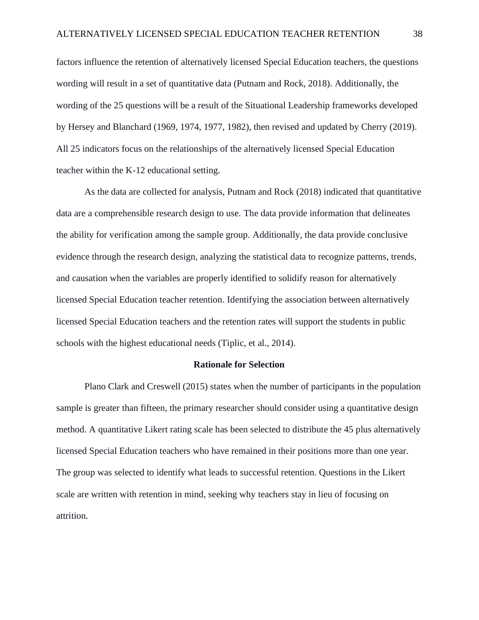factors influence the retention of alternatively licensed Special Education teachers, the questions wording will result in a set of quantitative data (Putnam and Rock, 2018). Additionally, the wording of the 25 questions will be a result of the Situational Leadership frameworks developed by Hersey and Blanchard (1969, 1974, 1977, 1982), then revised and updated by Cherry (2019). All 25 indicators focus on the relationships of the alternatively licensed Special Education teacher within the K-12 educational setting.

As the data are collected for analysis, Putnam and Rock (2018) indicated that quantitative data are a comprehensible research design to use. The data provide information that delineates the ability for verification among the sample group. Additionally, the data provide conclusive evidence through the research design, analyzing the statistical data to recognize patterns, trends, and causation when the variables are properly identified to solidify reason for alternatively licensed Special Education teacher retention. Identifying the association between alternatively licensed Special Education teachers and the retention rates will support the students in public schools with the highest educational needs (Tiplic, et al., 2014).

### **Rationale for Selection**

Plano Clark and Creswell (2015) states when the number of participants in the population sample is greater than fifteen, the primary researcher should consider using a quantitative design method. A quantitative Likert rating scale has been selected to distribute the 45 plus alternatively licensed Special Education teachers who have remained in their positions more than one year. The group was selected to identify what leads to successful retention. Questions in the Likert scale are written with retention in mind, seeking why teachers stay in lieu of focusing on attrition.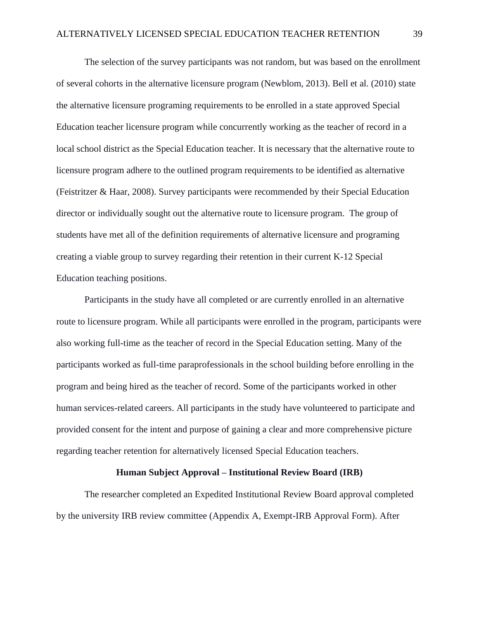The selection of the survey participants was not random, but was based on the enrollment of several cohorts in the alternative licensure program (Newblom, 2013). Bell et al. (2010) state the alternative licensure programing requirements to be enrolled in a state approved Special Education teacher licensure program while concurrently working as the teacher of record in a local school district as the Special Education teacher. It is necessary that the alternative route to licensure program adhere to the outlined program requirements to be identified as alternative (Feistritzer & Haar, 2008). Survey participants were recommended by their Special Education director or individually sought out the alternative route to licensure program. The group of students have met all of the definition requirements of alternative licensure and programing creating a viable group to survey regarding their retention in their current K-12 Special Education teaching positions.

Participants in the study have all completed or are currently enrolled in an alternative route to licensure program. While all participants were enrolled in the program, participants were also working full-time as the teacher of record in the Special Education setting. Many of the participants worked as full-time paraprofessionals in the school building before enrolling in the program and being hired as the teacher of record. Some of the participants worked in other human services-related careers. All participants in the study have volunteered to participate and provided consent for the intent and purpose of gaining a clear and more comprehensive picture regarding teacher retention for alternatively licensed Special Education teachers.

# **Human Subject Approval – Institutional Review Board (IRB)**

The researcher completed an Expedited Institutional Review Board approval completed by the university IRB review committee (Appendix A, Exempt-IRB Approval Form). After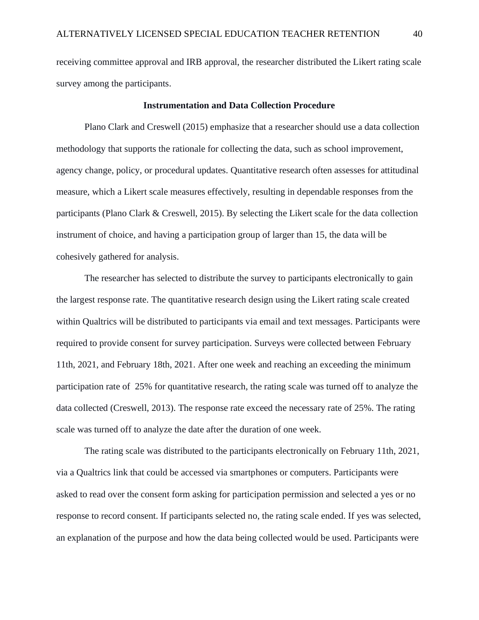receiving committee approval and IRB approval, the researcher distributed the Likert rating scale survey among the participants.

#### **Instrumentation and Data Collection Procedure**

Plano Clark and Creswell (2015) emphasize that a researcher should use a data collection methodology that supports the rationale for collecting the data, such as school improvement, agency change, policy, or procedural updates. Quantitative research often assesses for attitudinal measure, which a Likert scale measures effectively, resulting in dependable responses from the participants (Plano Clark & Creswell, 2015). By selecting the Likert scale for the data collection instrument of choice, and having a participation group of larger than 15, the data will be cohesively gathered for analysis.

The researcher has selected to distribute the survey to participants electronically to gain the largest response rate. The quantitative research design using the Likert rating scale created within Qualtrics will be distributed to participants via email and text messages. Participants were required to provide consent for survey participation. Surveys were collected between February 11th, 2021, and February 18th, 2021. After one week and reaching an exceeding the minimum participation rate of 25% for quantitative research, the rating scale was turned off to analyze the data collected (Creswell, 2013). The response rate exceed the necessary rate of 25%. The rating scale was turned off to analyze the date after the duration of one week.

The rating scale was distributed to the participants electronically on February 11th, 2021, via a Qualtrics link that could be accessed via smartphones or computers. Participants were asked to read over the consent form asking for participation permission and selected a yes or no response to record consent. If participants selected no, the rating scale ended. If yes was selected, an explanation of the purpose and how the data being collected would be used. Participants were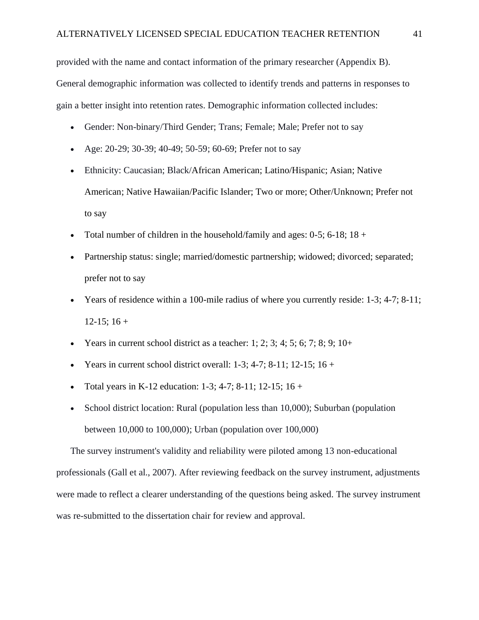provided with the name and contact information of the primary researcher (Appendix B). General demographic information was collected to identify trends and patterns in responses to gain a better insight into retention rates. Demographic information collected includes:

- Gender: Non-binary/Third Gender; Trans; Female; Male; Prefer not to say
- Age: 20-29; 30-39; 40-49; 50-59; 60-69; Prefer not to say
- Ethnicity: Caucasian; Black/African American; Latino/Hispanic; Asian; Native American; Native Hawaiian/Pacific Islander; Two or more; Other/Unknown; Prefer not to say
- Total number of children in the household/family and ages:  $0-5$ ;  $6-18$ ;  $18 +$
- Partnership status: single; married/domestic partnership; widowed; divorced; separated; prefer not to say
- Years of residence within a 100-mile radius of where you currently reside: 1-3; 4-7; 8-11;  $12-15$ ;  $16 +$
- Years in current school district as a teacher: 1; 2; 3; 4; 5; 6; 7; 8; 9; 10+
- Years in current school district overall:  $1-3$ ;  $4-7$ ;  $8-11$ ;  $12-15$ ;  $16+$
- Total years in K-12 education:  $1-3$ ;  $4-7$ ;  $8-11$ ;  $12-15$ ;  $16+$
- School district location: Rural (population less than 10,000); Suburban (population between 10,000 to 100,000); Urban (population over 100,000)

The survey instrument's validity and reliability were piloted among 13 non-educational professionals (Gall et al., 2007). After reviewing feedback on the survey instrument, adjustments were made to reflect a clearer understanding of the questions being asked. The survey instrument was re-submitted to the dissertation chair for review and approval.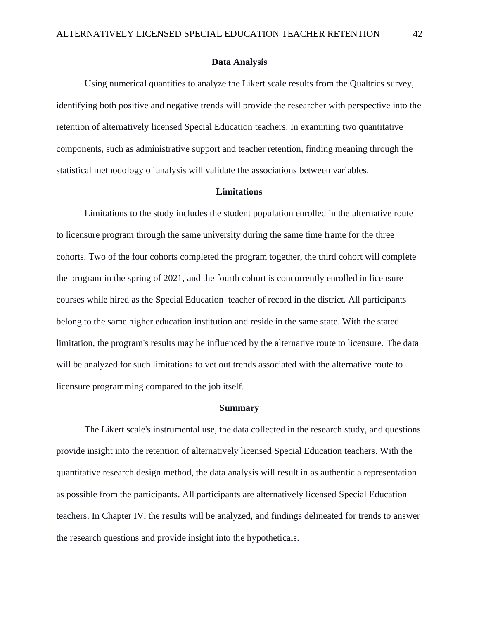## **Data Analysis**

Using numerical quantities to analyze the Likert scale results from the Qualtrics survey, identifying both positive and negative trends will provide the researcher with perspective into the retention of alternatively licensed Special Education teachers. In examining two quantitative components, such as administrative support and teacher retention, finding meaning through the statistical methodology of analysis will validate the associations between variables.

# **Limitations**

Limitations to the study includes the student population enrolled in the alternative route to licensure program through the same university during the same time frame for the three cohorts. Two of the four cohorts completed the program together, the third cohort will complete the program in the spring of 2021, and the fourth cohort is concurrently enrolled in licensure courses while hired as the Special Education teacher of record in the district. All participants belong to the same higher education institution and reside in the same state. With the stated limitation, the program's results may be influenced by the alternative route to licensure. The data will be analyzed for such limitations to vet out trends associated with the alternative route to licensure programming compared to the job itself.

## **Summary**

The Likert scale's instrumental use, the data collected in the research study, and questions provide insight into the retention of alternatively licensed Special Education teachers. With the quantitative research design method, the data analysis will result in as authentic a representation as possible from the participants. All participants are alternatively licensed Special Education teachers. In Chapter IV, the results will be analyzed, and findings delineated for trends to answer the research questions and provide insight into the hypotheticals.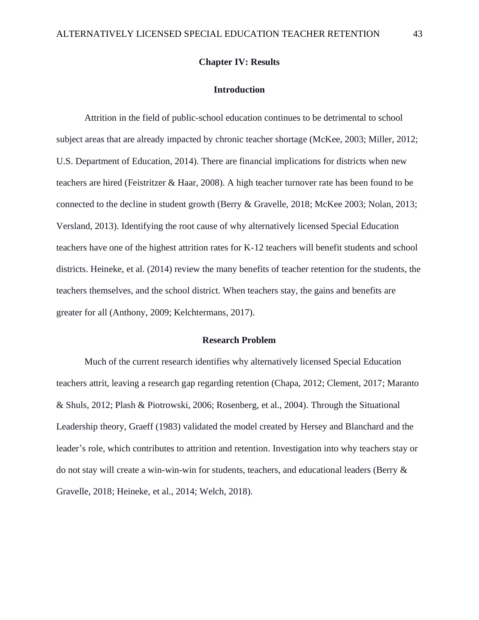## **Chapter IV: Results**

#### **Introduction**

Attrition in the field of public-school education continues to be detrimental to school subject areas that are already impacted by chronic teacher shortage (McKee, 2003; Miller, 2012; U.S. Department of Education, 2014). There are financial implications for districts when new teachers are hired (Feistritzer & Haar, 2008). A high teacher turnover rate has been found to be connected to the decline in student growth (Berry & Gravelle, 2018; McKee 2003; Nolan, 2013; Versland, 2013). Identifying the root cause of why alternatively licensed Special Education teachers have one of the highest attrition rates for K-12 teachers will benefit students and school districts. Heineke, et al. (2014) review the many benefits of teacher retention for the students, the teachers themselves, and the school district. When teachers stay, the gains and benefits are greater for all (Anthony, 2009; Kelchtermans, 2017).

## **Research Problem**

Much of the current research identifies why alternatively licensed Special Education teachers attrit, leaving a research gap regarding retention (Chapa, 2012; Clement, 2017; Maranto & Shuls, 2012; Plash & Piotrowski, 2006; Rosenberg, et al., 2004). Through the Situational Leadership theory, Graeff (1983) validated the model created by Hersey and Blanchard and the leader's role, which contributes to attrition and retention. Investigation into why teachers stay or do not stay will create a win-win-win for students, teachers, and educational leaders (Berry & Gravelle, 2018; Heineke, et al., 2014; Welch, 2018).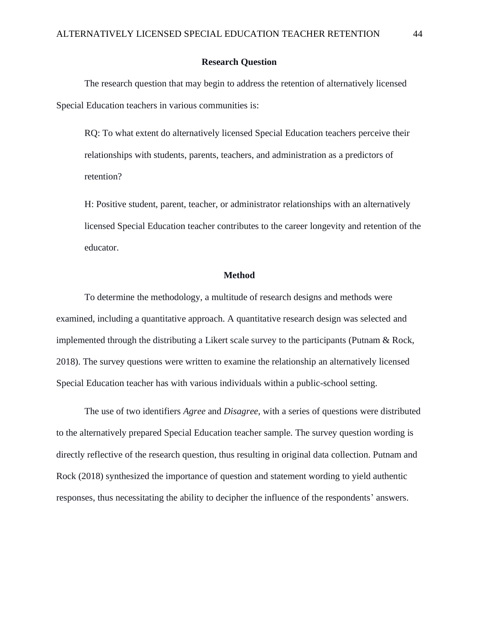## **Research Question**

The research question that may begin to address the retention of alternatively licensed Special Education teachers in various communities is:

RQ: To what extent do alternatively licensed Special Education teachers perceive their relationships with students, parents, teachers, and administration as a predictors of retention?

H: Positive student, parent, teacher, or administrator relationships with an alternatively licensed Special Education teacher contributes to the career longevity and retention of the educator.

### **Method**

To determine the methodology, a multitude of research designs and methods were examined, including a quantitative approach. A quantitative research design was selected and implemented through the distributing a Likert scale survey to the participants (Putnam & Rock, 2018). The survey questions were written to examine the relationship an alternatively licensed Special Education teacher has with various individuals within a public-school setting.

The use of two identifiers *Agree* and *Disagree*, with a series of questions were distributed to the alternatively prepared Special Education teacher sample. The survey question wording is directly reflective of the research question, thus resulting in original data collection. Putnam and Rock (2018) synthesized the importance of question and statement wording to yield authentic responses, thus necessitating the ability to decipher the influence of the respondents' answers.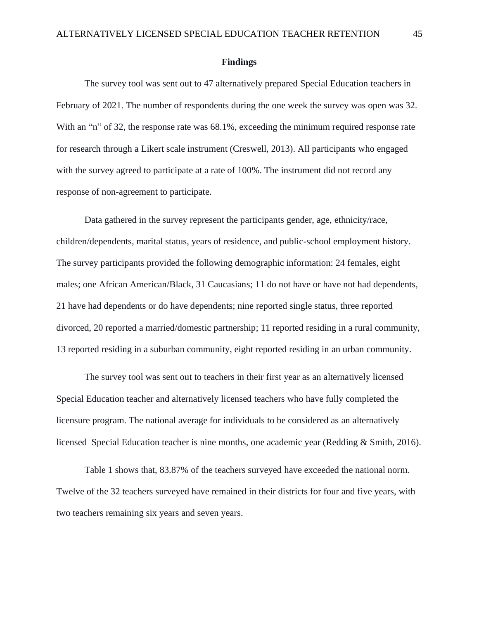#### **Findings**

The survey tool was sent out to 47 alternatively prepared Special Education teachers in February of 2021. The number of respondents during the one week the survey was open was 32. With an "n" of 32, the response rate was 68.1%, exceeding the minimum required response rate for research through a Likert scale instrument (Creswell, 2013). All participants who engaged with the survey agreed to participate at a rate of 100%. The instrument did not record any response of non-agreement to participate.

Data gathered in the survey represent the participants gender, age, ethnicity/race, children/dependents, marital status, years of residence, and public-school employment history. The survey participants provided the following demographic information: 24 females, eight males; one African American/Black, 31 Caucasians; 11 do not have or have not had dependents, 21 have had dependents or do have dependents; nine reported single status, three reported divorced, 20 reported a married/domestic partnership; 11 reported residing in a rural community, 13 reported residing in a suburban community, eight reported residing in an urban community.

The survey tool was sent out to teachers in their first year as an alternatively licensed Special Education teacher and alternatively licensed teachers who have fully completed the licensure program. The national average for individuals to be considered as an alternatively licensed Special Education teacher is nine months, one academic year (Redding & Smith, 2016).

Table 1 shows that, 83.87% of the teachers surveyed have exceeded the national norm. Twelve of the 32 teachers surveyed have remained in their districts for four and five years, with two teachers remaining six years and seven years.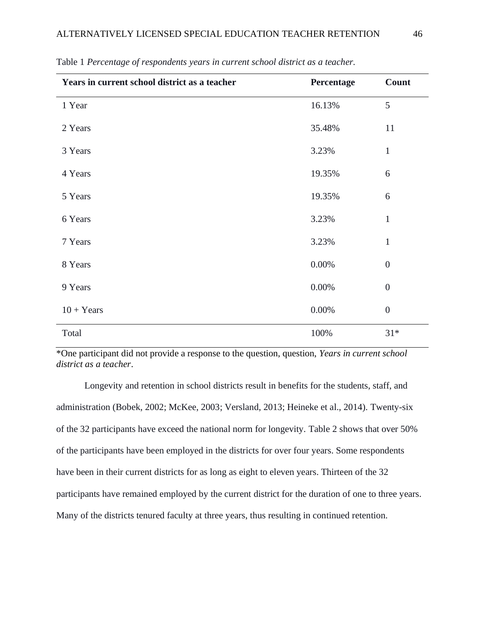| Years in current school district as a teacher | Percentage | Count            |
|-----------------------------------------------|------------|------------------|
| 1 Year                                        | 16.13%     | 5                |
| 2 Years                                       | 35.48%     | 11               |
| 3 Years                                       | 3.23%      | $\mathbf{1}$     |
| 4 Years                                       | 19.35%     | 6                |
| 5 Years                                       | 19.35%     | 6                |
| 6 Years                                       | 3.23%      | $\mathbf{1}$     |
| 7 Years                                       | 3.23%      | $\mathbf{1}$     |
| 8 Years                                       | $0.00\%$   | $\boldsymbol{0}$ |
| 9 Years                                       | 0.00%      | $\boldsymbol{0}$ |
| $10 + Years$                                  | $0.00\%$   | $\boldsymbol{0}$ |
| Total                                         | 100%       | $31*$            |

Table 1 *Percentage of respondents years in current school district as a teacher.*

\*One participant did not provide a response to the question, question, *Years in current school district as a teacher*.

Longevity and retention in school districts result in benefits for the students, staff, and administration (Bobek, 2002; McKee, 2003; Versland, 2013; Heineke et al., 2014). Twenty-six of the 32 participants have exceed the national norm for longevity. Table 2 shows that over 50% of the participants have been employed in the districts for over four years. Some respondents have been in their current districts for as long as eight to eleven years. Thirteen of the 32 participants have remained employed by the current district for the duration of one to three years. Many of the districts tenured faculty at three years, thus resulting in continued retention.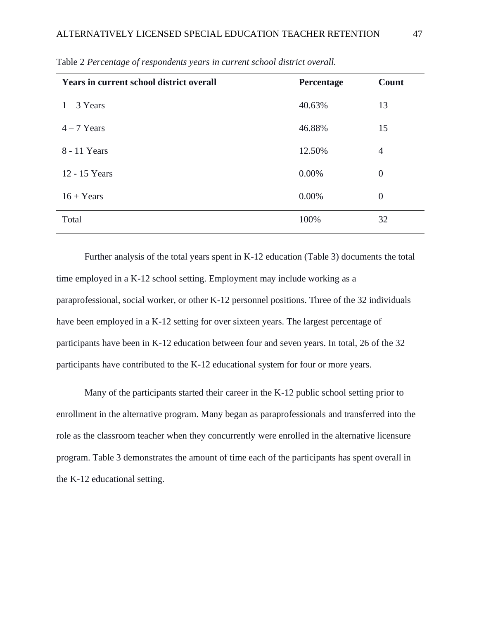| <b>Years in current school district overall</b> | Percentage | <b>Count</b>   |
|-------------------------------------------------|------------|----------------|
| $1 - 3$ Years                                   | 40.63%     | 13             |
| $4 - 7$ Years                                   | 46.88%     | 15             |
| 8 - 11 Years                                    | 12.50%     | $\overline{4}$ |
| 12 - 15 Years                                   | 0.00%      | $\overline{0}$ |
| $16 + Years$                                    | 0.00%      | $\theta$       |
| Total                                           | 100%       | 32             |

Table 2 *Percentage of respondents years in current school district overall.*

Further analysis of the total years spent in K-12 education (Table 3) documents the total time employed in a K-12 school setting. Employment may include working as a paraprofessional, social worker, or other K-12 personnel positions. Three of the 32 individuals have been employed in a K-12 setting for over sixteen years. The largest percentage of participants have been in K-12 education between four and seven years. In total, 26 of the 32 participants have contributed to the K-12 educational system for four or more years.

Many of the participants started their career in the K-12 public school setting prior to enrollment in the alternative program. Many began as paraprofessionals and transferred into the role as the classroom teacher when they concurrently were enrolled in the alternative licensure program. Table 3 demonstrates the amount of time each of the participants has spent overall in the K-12 educational setting.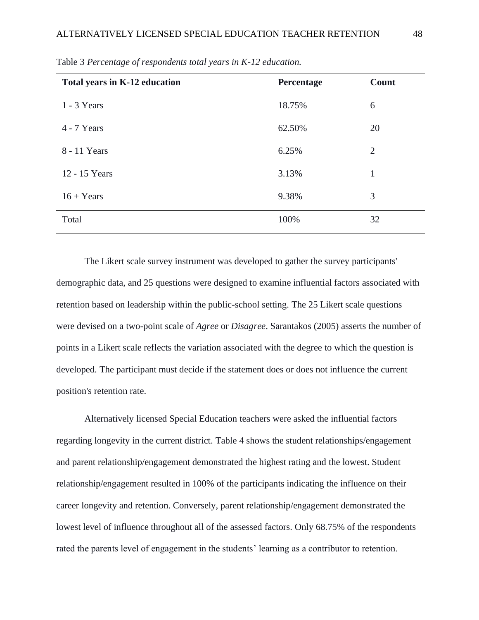| Total years in K-12 education | Percentage | Count          |
|-------------------------------|------------|----------------|
| $1 - 3$ Years                 | 18.75%     | 6              |
| $4 - 7$ Years                 | 62.50%     | 20             |
| 8 - 11 Years                  | 6.25%      | $\overline{2}$ |
| 12 - 15 Years                 | 3.13%      | $\mathbf{1}$   |
| $16 + Years$                  | 9.38%      | 3              |
| Total                         | 100%       | 32             |

Table 3 *Percentage of respondents total years in K-12 education.*

The Likert scale survey instrument was developed to gather the survey participants' demographic data, and 25 questions were designed to examine influential factors associated with retention based on leadership within the public-school setting. The 25 Likert scale questions were devised on a two-point scale of *Agree* or *Disagree*. Sarantakos (2005) asserts the number of points in a Likert scale reflects the variation associated with the degree to which the question is developed. The participant must decide if the statement does or does not influence the current position's retention rate.

Alternatively licensed Special Education teachers were asked the influential factors regarding longevity in the current district. Table 4 shows the student relationships/engagement and parent relationship/engagement demonstrated the highest rating and the lowest. Student relationship/engagement resulted in 100% of the participants indicating the influence on their career longevity and retention. Conversely, parent relationship/engagement demonstrated the lowest level of influence throughout all of the assessed factors. Only 68.75% of the respondents rated the parents level of engagement in the students' learning as a contributor to retention.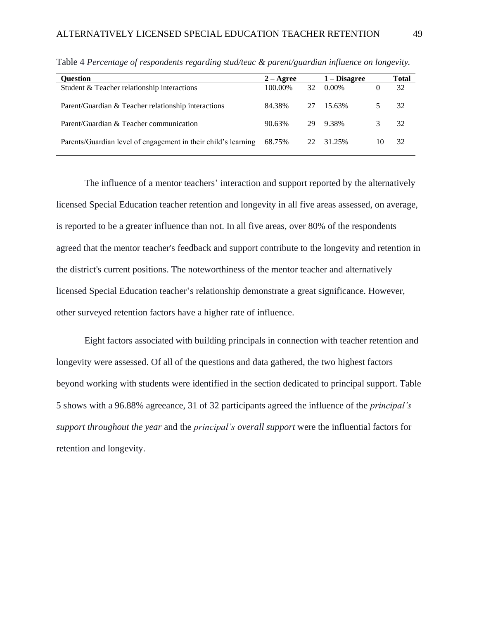| Ouestion                                                       | $2 - \text{Agree}$ |    | 1 – Disagree |    | Total |
|----------------------------------------------------------------|--------------------|----|--------------|----|-------|
| Student & Teacher relationship interactions                    | 100.00%            | 32 | 0.00%        |    | 32    |
| Parent/Guardian & Teacher relationship interactions            | 84.38%             | 27 | 15.63%       |    | 32    |
| Parent/Guardian & Teacher communication                        | 90.63%             | 29 | 9.38%        |    | 32    |
| Parents/Guardian level of engagement in their child's learning | 68.75%             | 22 | 31.25%       | 10 | 32    |

Table 4 *Percentage of respondents regarding stud/teac & parent/guardian influence on longevity.*

The influence of a mentor teachers' interaction and support reported by the alternatively licensed Special Education teacher retention and longevity in all five areas assessed, on average, is reported to be a greater influence than not. In all five areas, over 80% of the respondents agreed that the mentor teacher's feedback and support contribute to the longevity and retention in the district's current positions. The noteworthiness of the mentor teacher and alternatively licensed Special Education teacher's relationship demonstrate a great significance. However, other surveyed retention factors have a higher rate of influence.

Eight factors associated with building principals in connection with teacher retention and longevity were assessed. Of all of the questions and data gathered, the two highest factors beyond working with students were identified in the section dedicated to principal support. Table 5 shows with a 96.88% agreeance, 31 of 32 participants agreed the influence of the *principal's support throughout the year* and the *principal's overall support* were the influential factors for retention and longevity.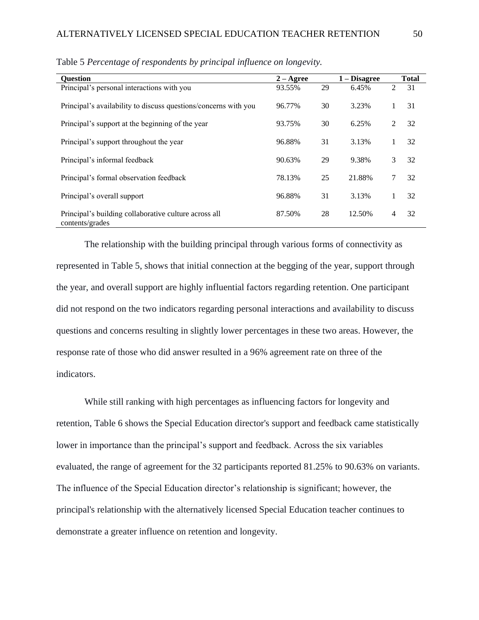| <b>Question</b>                                                          | $2 - \text{Agree}$ |    | $1 - Disagree$ |               | <b>Total</b> |
|--------------------------------------------------------------------------|--------------------|----|----------------|---------------|--------------|
| Principal's personal interactions with you                               | 93.55%             | 29 | 6.45%          | 2             | 31           |
| Principal's availability to discuss questions/concerns with you          | 96.77%             | 30 | 3.23%          |               | 31           |
| Principal's support at the beginning of the year                         | 93.75%             | 30 | 6.25%          | $\mathcal{L}$ | 32           |
| Principal's support throughout the year                                  | 96.88%             | 31 | 3.13%          |               | 32           |
| Principal's informal feedback                                            | 90.63%             | 29 | 9.38%          | 3             | 32           |
| Principal's formal observation feedback                                  | 78.13%             | 25 | 21.88%         | 7             | 32           |
| Principal's overall support                                              | 96.88%             | 31 | 3.13%          |               | 32           |
| Principal's building collaborative culture across all<br>contents/grades | 87.50%             | 28 | 12.50%         | 4             | 32           |

Table 5 *Percentage of respondents by principal influence on longevity.*

The relationship with the building principal through various forms of connectivity as represented in Table 5, shows that initial connection at the begging of the year, support through the year, and overall support are highly influential factors regarding retention. One participant did not respond on the two indicators regarding personal interactions and availability to discuss questions and concerns resulting in slightly lower percentages in these two areas. However, the response rate of those who did answer resulted in a 96% agreement rate on three of the indicators.

While still ranking with high percentages as influencing factors for longevity and retention, Table 6 shows the Special Education director's support and feedback came statistically lower in importance than the principal's support and feedback. Across the six variables evaluated, the range of agreement for the 32 participants reported 81.25% to 90.63% on variants. The influence of the Special Education director's relationship is significant; however, the principal's relationship with the alternatively licensed Special Education teacher continues to demonstrate a greater influence on retention and longevity.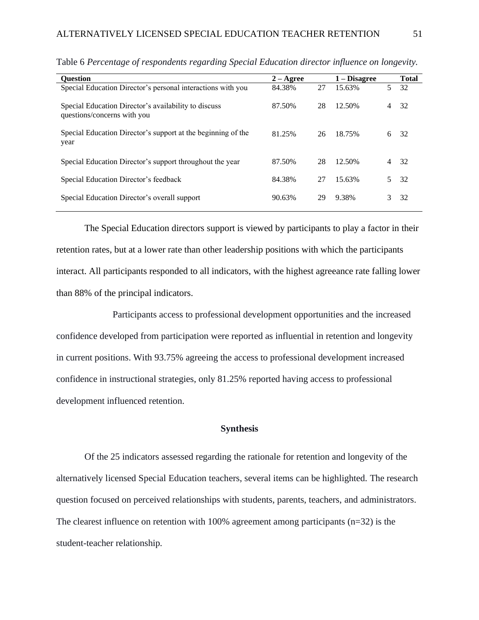| <b>Ouestion</b>                                                                     | $2 - \text{Agree}$ |    | $1 - Disagree$ |                | <b>Total</b> |
|-------------------------------------------------------------------------------------|--------------------|----|----------------|----------------|--------------|
| Special Education Director's personal interactions with you                         | 84.38%             | 27 | 15.63%         | 5              | 32           |
| Special Education Director's availability to discuss<br>questions/concerns with you | 87.50%             | 28 | 12.50%         | 4              | 32           |
| Special Education Director's support at the beginning of the<br>year                | 81.25%             | 26 | 18.75%         | 6              | -32          |
| Special Education Director's support throughout the year                            | 87.50%             | 28 | 12.50%         | $\overline{4}$ | -32          |
| Special Education Director's feedback                                               | 84.38%             | 27 | 15.63%         |                | -32          |
| Special Education Director's overall support                                        | 90.63%             | 29 | 9.38%          | 3              | 32           |

Table 6 *Percentage of respondents regarding Special Education director influence on longevity.*

The Special Education directors support is viewed by participants to play a factor in their retention rates, but at a lower rate than other leadership positions with which the participants interact. All participants responded to all indicators, with the highest agreeance rate falling lower than 88% of the principal indicators.

Participants access to professional development opportunities and the increased confidence developed from participation were reported as influential in retention and longevity in current positions. With 93.75% agreeing the access to professional development increased confidence in instructional strategies, only 81.25% reported having access to professional development influenced retention.

# **Synthesis**

Of the 25 indicators assessed regarding the rationale for retention and longevity of the alternatively licensed Special Education teachers, several items can be highlighted. The research question focused on perceived relationships with students, parents, teachers, and administrators. The clearest influence on retention with 100% agreement among participants  $(n=32)$  is the student-teacher relationship*.*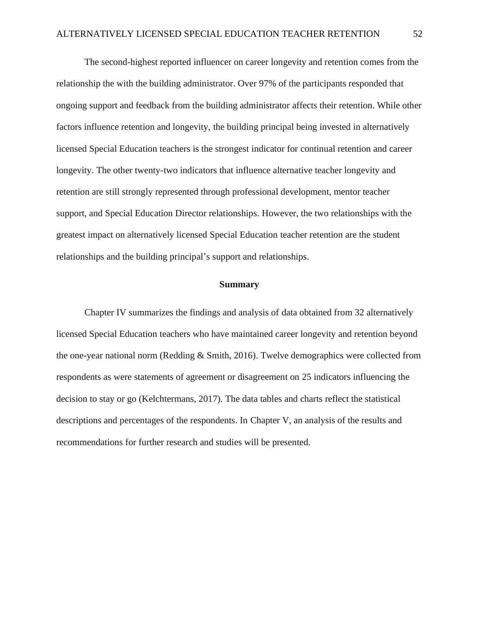The second-highest reported influencer on career longevity and retention comes from the relationship the with the building administrator. Over 97% of the participants responded that ongoing support and feedback from the building administrator affects their retention. While other factors influence retention and longevity, the building principal being invested in alternatively licensed Special Education teachers is the strongest indicator for continual retention and career longevity. The other twenty-two indicators that influence alternative teacher longevity and retention are still strongly represented through professional development, mentor teacher support, and Special Education Director relationships. However, the two relationships with the greatest impact on alternatively licensed Special Education teacher retention are the student relationships and the building principal's support and relationships.

# **Summary**

Chapter IV summarizes the findings and analysis of data obtained from 32 alternatively licensed Special Education teachers who have maintained career longevity and retention beyond the one-year national norm (Redding & Smith, 2016). Twelve demographics were collected from respondents as were statements of agreement or disagreement on 25 indicators influencing the decision to stay or go (Kelchtermans, 2017). The data tables and charts reflect the statistical descriptions and percentages of the respondents. In Chapter V, an analysis of the results and recommendations for further research and studies will be presented.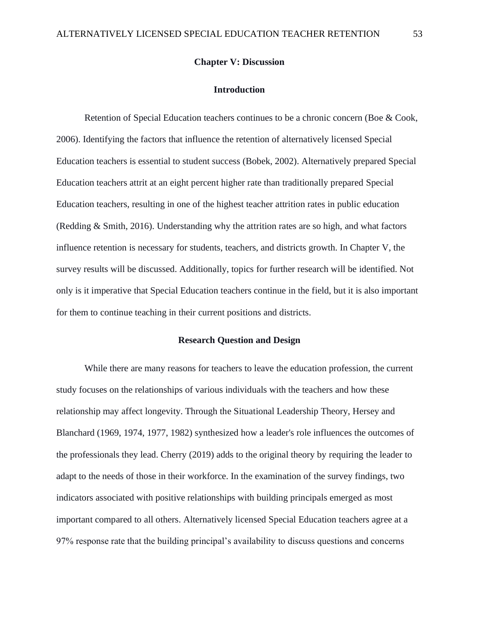## **Chapter V: Discussion**

#### **Introduction**

Retention of Special Education teachers continues to be a chronic concern (Boe & Cook, 2006). Identifying the factors that influence the retention of alternatively licensed Special Education teachers is essential to student success (Bobek, 2002). Alternatively prepared Special Education teachers attrit at an eight percent higher rate than traditionally prepared Special Education teachers, resulting in one of the highest teacher attrition rates in public education (Redding & Smith, 2016). Understanding why the attrition rates are so high, and what factors influence retention is necessary for students, teachers, and districts growth. In Chapter V, the survey results will be discussed. Additionally, topics for further research will be identified. Not only is it imperative that Special Education teachers continue in the field, but it is also important for them to continue teaching in their current positions and districts.

# **Research Question and Design**

While there are many reasons for teachers to leave the education profession, the current study focuses on the relationships of various individuals with the teachers and how these relationship may affect longevity. Through the Situational Leadership Theory, Hersey and Blanchard (1969, 1974, 1977, 1982) synthesized how a leader's role influences the outcomes of the professionals they lead. Cherry (2019) adds to the original theory by requiring the leader to adapt to the needs of those in their workforce. In the examination of the survey findings, two indicators associated with positive relationships with building principals emerged as most important compared to all others. Alternatively licensed Special Education teachers agree at a 97% response rate that the building principal's availability to discuss questions and concerns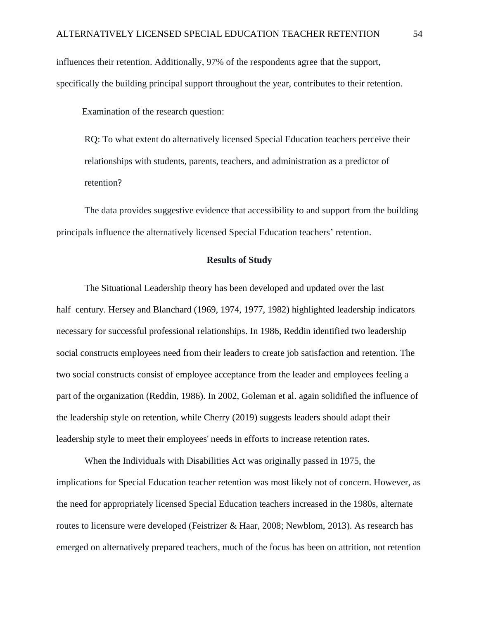influences their retention. Additionally, 97% of the respondents agree that the support, specifically the building principal support throughout the year, contributes to their retention.

Examination of the research question:

RQ: To what extent do alternatively licensed Special Education teachers perceive their relationships with students, parents, teachers, and administration as a predictor of retention?

The data provides suggestive evidence that accessibility to and support from the building principals influence the alternatively licensed Special Education teachers' retention.

# **Results of Study**

The Situational Leadership theory has been developed and updated over the last half century. Hersey and Blanchard (1969, 1974, 1977, 1982) highlighted leadership indicators necessary for successful professional relationships. In 1986, Reddin identified two leadership social constructs employees need from their leaders to create job satisfaction and retention. The two social constructs consist of employee acceptance from the leader and employees feeling a part of the organization (Reddin, 1986). In 2002, Goleman et al. again solidified the influence of the leadership style on retention, while Cherry (2019) suggests leaders should adapt their leadership style to meet their employees' needs in efforts to increase retention rates.

When the Individuals with Disabilities Act was originally passed in 1975, the implications for Special Education teacher retention was most likely not of concern. However, as the need for appropriately licensed Special Education teachers increased in the 1980s, alternate routes to licensure were developed (Feistrizer & Haar, 2008; Newblom, 2013). As research has emerged on alternatively prepared teachers, much of the focus has been on attrition, not retention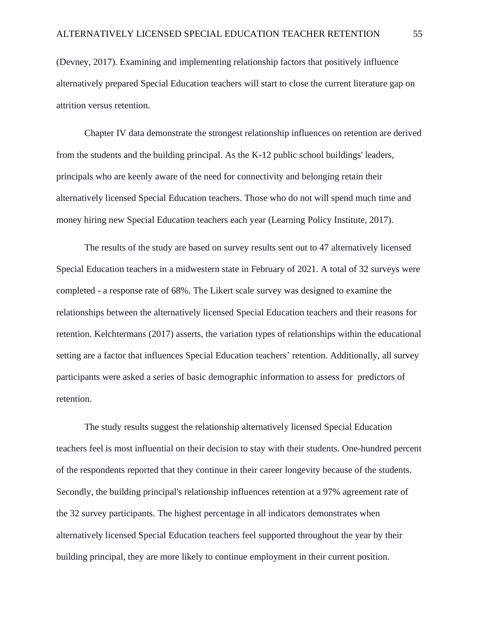(Devney, 2017). Examining and implementing relationship factors that positively influence alternatively prepared Special Education teachers will start to close the current literature gap on attrition versus retention.

Chapter IV data demonstrate the strongest relationship influences on retention are derived from the students and the building principal. As the K-12 public school buildings' leaders, principals who are keenly aware of the need for connectivity and belonging retain their alternatively licensed Special Education teachers. Those who do not will spend much time and money hiring new Special Education teachers each year (Learning Policy Institute, 2017).

The results of the study are based on survey results sent out to 47 alternatively licensed Special Education teachers in a midwestern state in February of 2021. A total of 32 surveys were completed - a response rate of 68%. The Likert scale survey was designed to examine the relationships between the alternatively licensed Special Education teachers and their reasons for retention. Kelchtermans (2017) asserts, the variation types of relationships within the educational setting are a factor that influences Special Education teachers' retention. Additionally, all survey participants were asked a series of basic demographic information to assess for predictors of retention.

The study results suggest the relationship alternatively licensed Special Education teachers feel is most influential on their decision to stay with their students. One-hundred percent of the respondents reported that they continue in their career longevity because of the students. Secondly, the building principal's relationship influences retention at a 97% agreement rate of the 32 survey participants. The highest percentage in all indicators demonstrates when alternatively licensed Special Education teachers feel supported throughout the year by their building principal, they are more likely to continue employment in their current position.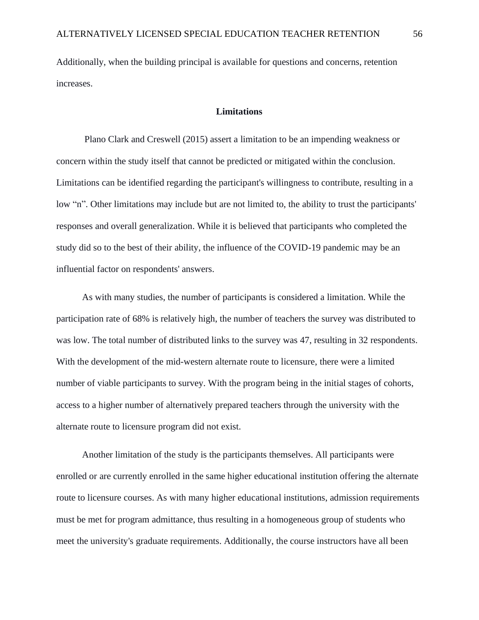Additionally, when the building principal is available for questions and concerns, retention increases.

## **Limitations**

Plano Clark and Creswell (2015) assert a limitation to be an impending weakness or concern within the study itself that cannot be predicted or mitigated within the conclusion. Limitations can be identified regarding the participant's willingness to contribute, resulting in a low "n". Other limitations may include but are not limited to, the ability to trust the participants' responses and overall generalization. While it is believed that participants who completed the study did so to the best of their ability, the influence of the COVID-19 pandemic may be an influential factor on respondents' answers.

 As with many studies, the number of participants is considered a limitation. While the participation rate of 68% is relatively high, the number of teachers the survey was distributed to was low. The total number of distributed links to the survey was 47, resulting in 32 respondents. With the development of the mid-western alternate route to licensure, there were a limited number of viable participants to survey. With the program being in the initial stages of cohorts, access to a higher number of alternatively prepared teachers through the university with the alternate route to licensure program did not exist.

 Another limitation of the study is the participants themselves. All participants were enrolled or are currently enrolled in the same higher educational institution offering the alternate route to licensure courses. As with many higher educational institutions, admission requirements must be met for program admittance, thus resulting in a homogeneous group of students who meet the university's graduate requirements. Additionally, the course instructors have all been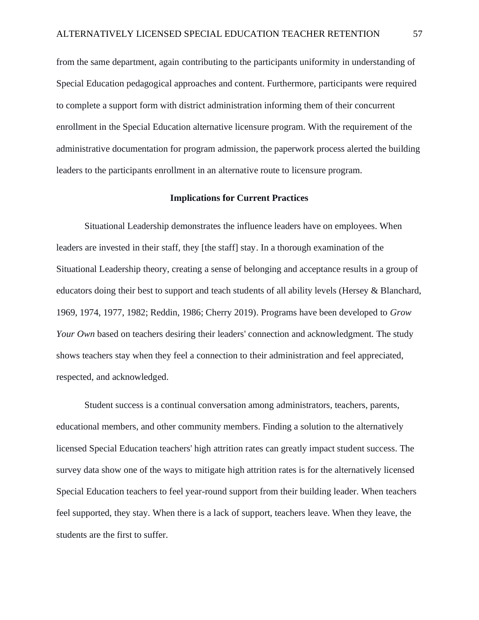from the same department, again contributing to the participants uniformity in understanding of Special Education pedagogical approaches and content. Furthermore, participants were required to complete a support form with district administration informing them of their concurrent enrollment in the Special Education alternative licensure program. With the requirement of the administrative documentation for program admission, the paperwork process alerted the building leaders to the participants enrollment in an alternative route to licensure program.

### **Implications for Current Practices**

Situational Leadership demonstrates the influence leaders have on employees. When leaders are invested in their staff, they [the staff] stay. In a thorough examination of the Situational Leadership theory, creating a sense of belonging and acceptance results in a group of educators doing their best to support and teach students of all ability levels (Hersey & Blanchard, 1969, 1974, 1977, 1982; Reddin, 1986; Cherry 2019). Programs have been developed to *Grow Your Own* based on teachers desiring their leaders' connection and acknowledgment. The study shows teachers stay when they feel a connection to their administration and feel appreciated, respected, and acknowledged.

Student success is a continual conversation among administrators, teachers, parents, educational members, and other community members. Finding a solution to the alternatively licensed Special Education teachers' high attrition rates can greatly impact student success. The survey data show one of the ways to mitigate high attrition rates is for the alternatively licensed Special Education teachers to feel year-round support from their building leader. When teachers feel supported, they stay. When there is a lack of support, teachers leave. When they leave, the students are the first to suffer.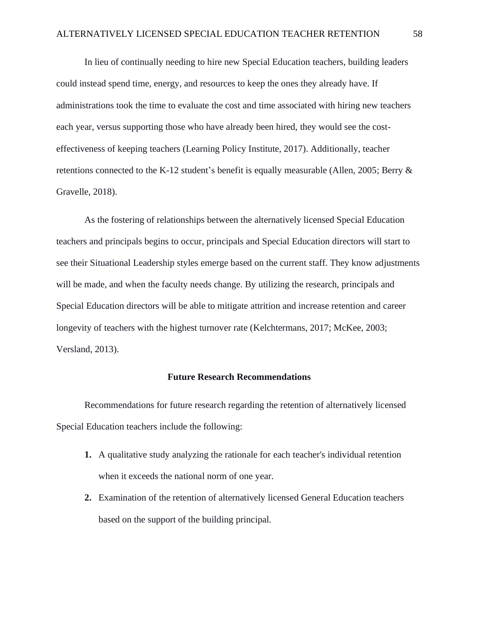In lieu of continually needing to hire new Special Education teachers, building leaders could instead spend time, energy, and resources to keep the ones they already have. If administrations took the time to evaluate the cost and time associated with hiring new teachers each year, versus supporting those who have already been hired, they would see the costeffectiveness of keeping teachers (Learning Policy Institute, 2017). Additionally, teacher retentions connected to the K-12 student's benefit is equally measurable (Allen, 2005; Berry & Gravelle, 2018).

As the fostering of relationships between the alternatively licensed Special Education teachers and principals begins to occur, principals and Special Education directors will start to see their Situational Leadership styles emerge based on the current staff. They know adjustments will be made, and when the faculty needs change. By utilizing the research, principals and Special Education directors will be able to mitigate attrition and increase retention and career longevity of teachers with the highest turnover rate (Kelchtermans, 2017; McKee, 2003; Versland, 2013).

## **Future Research Recommendations**

Recommendations for future research regarding the retention of alternatively licensed Special Education teachers include the following:

- **1.** A qualitative study analyzing the rationale for each teacher's individual retention when it exceeds the national norm of one year.
- **2.** Examination of the retention of alternatively licensed General Education teachers based on the support of the building principal.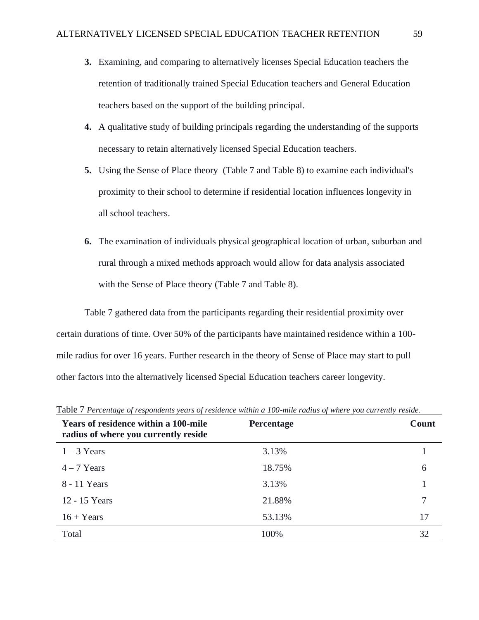- **3.** Examining, and comparing to alternatively licenses Special Education teachers the retention of traditionally trained Special Education teachers and General Education teachers based on the support of the building principal.
- **4.** A qualitative study of building principals regarding the understanding of the supports necessary to retain alternatively licensed Special Education teachers.
- **5.** Using the Sense of Place theory (Table 7 and Table 8) to examine each individual's proximity to their school to determine if residential location influences longevity in all school teachers.
- **6.** The examination of individuals physical geographical location of urban, suburban and rural through a mixed methods approach would allow for data analysis associated with the Sense of Place theory (Table 7 and Table 8).

Table 7 gathered data from the participants regarding their residential proximity over certain durations of time. Over 50% of the participants have maintained residence within a 100 mile radius for over 16 years. Further research in the theory of Sense of Place may start to pull other factors into the alternatively licensed Special Education teachers career longevity.

| <b>Years of residence within a 100-mile</b><br>radius of where you currently reside | <b>Percentage</b> | Count |
|-------------------------------------------------------------------------------------|-------------------|-------|
| $1 - 3$ Years                                                                       | 3.13%             |       |
| $4 - 7$ Years                                                                       | 18.75%            | 6     |
| 8 - 11 Years                                                                        | 3.13%             |       |
| 12 - 15 Years                                                                       | 21.88%            |       |
| $16 + Years$                                                                        | 53.13%            | 17    |
| Total                                                                               | 100%              | 32    |

Table 7 *Percentage of respondents years of residence within a 100-mile radius of where you currently reside.*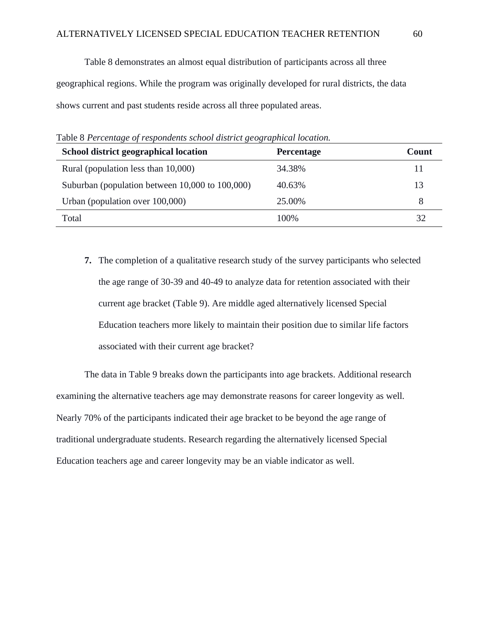Table 8 demonstrates an almost equal distribution of participants across all three geographical regions. While the program was originally developed for rural districts, the data shows current and past students reside across all three populated areas.

**School district geographical location Percentage Percentage Count** Rural (population less than  $10,000$ )  $34.38\%$  11 Suburban (population between 10,000 to 100,000) 40.63% 13 Urban (population over 100,000) 25.00% 25.00% Total 100% 32

Table 8 *Percentage of respondents school district geographical location.*

**7.** The completion of a qualitative research study of the survey participants who selected the age range of 30-39 and 40-49 to analyze data for retention associated with their current age bracket (Table 9). Are middle aged alternatively licensed Special Education teachers more likely to maintain their position due to similar life factors associated with their current age bracket?

The data in Table 9 breaks down the participants into age brackets. Additional research examining the alternative teachers age may demonstrate reasons for career longevity as well. Nearly 70% of the participants indicated their age bracket to be beyond the age range of traditional undergraduate students. Research regarding the alternatively licensed Special Education teachers age and career longevity may be an viable indicator as well.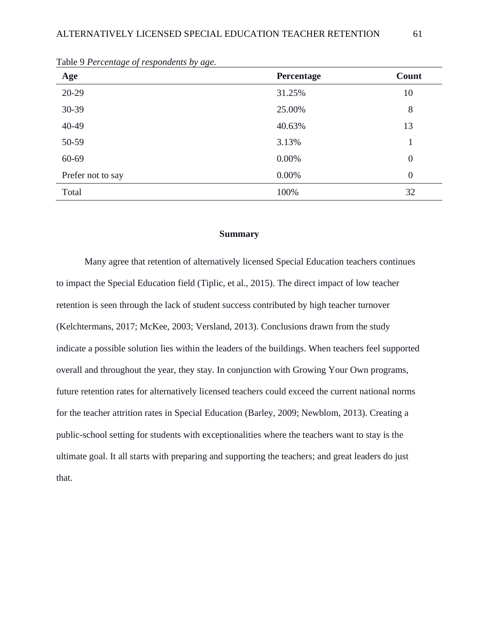| Age               | Percentage | Count            |
|-------------------|------------|------------------|
| $20-29$           | 31.25%     | 10               |
| 30-39             | 25.00%     | 8                |
| 40-49             | 40.63%     | 13               |
| 50-59             | 3.13%      | 1                |
| 60-69             | $0.00\%$   | $\boldsymbol{0}$ |
| Prefer not to say | $0.00\%$   | $\overline{0}$   |
| Total             | 100%       | 32               |

Table 9 *Percentage of respondents by age.*

## **Summary**

Many agree that retention of alternatively licensed Special Education teachers continues to impact the Special Education field (Tiplic, et al., 2015). The direct impact of low teacher retention is seen through the lack of student success contributed by high teacher turnover (Kelchtermans, 2017; McKee, 2003; Versland, 2013). Conclusions drawn from the study indicate a possible solution lies within the leaders of the buildings. When teachers feel supported overall and throughout the year, they stay. In conjunction with Growing Your Own programs, future retention rates for alternatively licensed teachers could exceed the current national norms for the teacher attrition rates in Special Education (Barley, 2009; Newblom, 2013). Creating a public-school setting for students with exceptionalities where the teachers want to stay is the ultimate goal. It all starts with preparing and supporting the teachers; and great leaders do just that.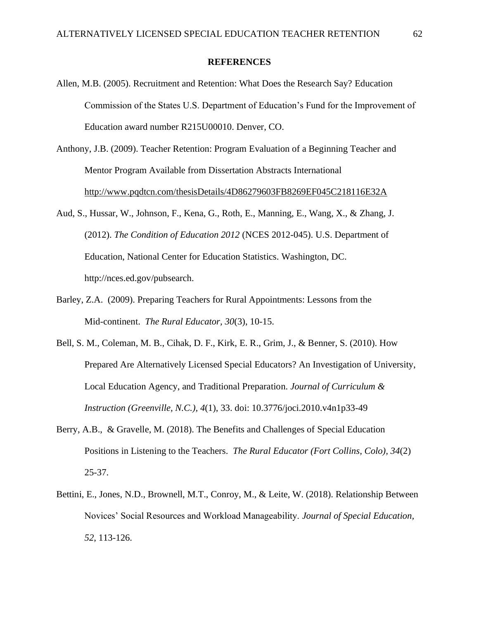### **REFERENCES**

- Allen, M.B. (2005). Recruitment and Retention: What Does the Research Say? Education Commission of the States U.S. Department of Education's Fund for the Improvement of Education award number R215U00010. Denver, CO.
- Anthony, J.B. (2009). Teacher Retention: Program Evaluation of a Beginning Teacher and Mentor Program Available from Dissertation Abstracts International <http://www.pqdtcn.com/thesisDetails/4D86279603FB8269EF045C218116E32A>
- Aud, S., Hussar, W., Johnson, F., Kena, G., Roth, E., Manning, E., Wang, X., & Zhang, J. (2012). *The Condition of Education 2012* (NCES 2012-045). U.S. Department of Education, National Center for Education Statistics. Washington, DC. http://nces.ed.gov/pubsearch.
- Barley, Z.A. (2009). Preparing Teachers for Rural Appointments: Lessons from the Mid-continent. *The Rural Educator, 30*(3), 10-15.
- Bell, S. M., Coleman, M. B., Cihak, D. F., Kirk, E. R., Grim, J., & Benner, S. (2010). How Prepared Are Alternatively Licensed Special Educators? An Investigation of University, Local Education Agency, and Traditional Preparation. *Journal of Curriculum & Instruction (Greenville, N.C.), 4*(1), 33. doi: 10.3776/joci.2010.v4n1p33-49
- Berry, A.B., & Gravelle, M. (2018). The Benefits and Challenges of Special Education Positions in Listening to the Teachers. *The Rural Educator (Fort Collins, Colo), 34*(2) 25-37.
- Bettini, E., Jones, N.D., Brownell, M.T., Conroy, M., & Leite, W. (2018). Relationship Between Novices' Social Resources and Workload Manageability. *Journal of Special Education, 52*, 113-126.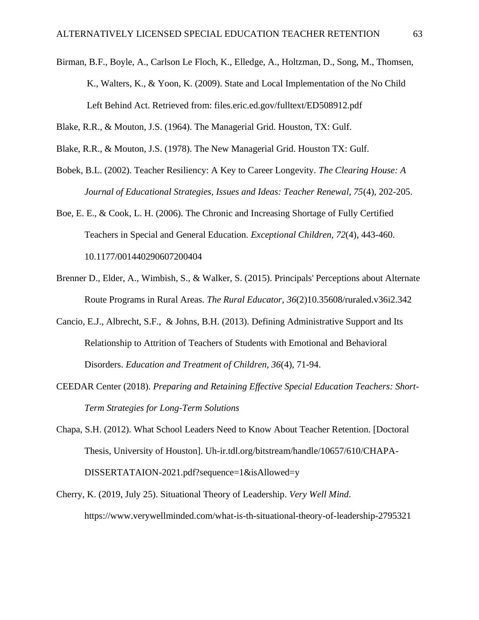- Birman, B.F., Boyle, A., Carlson Le Floch, K., Elledge, A., Holtzman, D., Song, M., Thomsen, K., Walters, K., & Yoon, K. (2009). State and Local Implementation of the No Child Left Behind Act. Retrieved from: files.eric.ed.gov/fulltext/ED508912.pdf
- Blake, R.R., & Mouton, J.S. (1964). The Managerial Grid. Houston, TX: Gulf.
- Blake, R.R., & Mouton, J.S. (1978). The New Managerial Grid. Houston TX: Gulf.
- Bobek, B.L. (2002). Teacher Resiliency: A Key to Career Longevity. *The Clearing House: A Journal of Educational Strategies, Issues and Ideas: Teacher Renewal, 75*(4), 202-205.
- Boe, E. E., & Cook, L. H. (2006). The Chronic and Increasing Shortage of Fully Certified Teachers in Special and General Education. *Exceptional Children, 72*(4), 443-460. 10.1177/001440290607200404
- Brenner D., Elder, A., Wimbish, S., & Walker, S. (2015). Principals' Perceptions about Alternate Route Programs in Rural Areas. *The Rural Educator, 36*(2)10.35608/ruraled.v36i2.342
- Cancio, E.J., Albrecht, S.F., & Johns, B.H. (2013). Defining Administrative Support and Its Relationship to Attrition of Teachers of Students with Emotional and Behavioral Disorders. *Education and Treatment of Children, 36*(4), 71-94.
- CEEDAR Center (2018). *Preparing and Retaining Effective Special Education Teachers: Short-Term Strategies for Long-Term Solutions*
- Chapa, S.H. (2012). What School Leaders Need to Know About Teacher Retention. [Doctoral Thesis, University of Houston]. Uh-ir.tdl.org/bitstream/handle/10657/610/CHAPA-DISSERTATAION-2021.pdf?sequence=1&isAllowed=y
- Cherry, K. (2019, July 25). Situational Theory of Leadership. *Very Well Mind*. https://www.verywellminded.com/what-is-th-situational-theory-of-leadership-2795321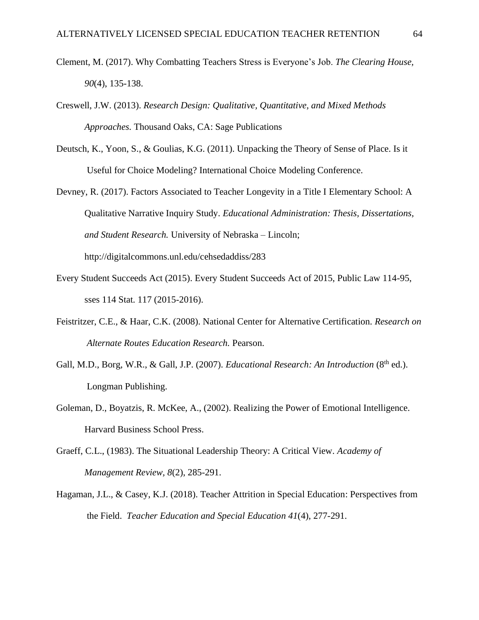- Clement, M. (2017). Why Combatting Teachers Stress is Everyone's Job. *The Clearing House, 90*(4), 135-138.
- Creswell, J.W. (2013). *Research Design: Qualitative, Quantitative, and Mixed Methods Approaches.* Thousand Oaks, CA: Sage Publications
- Deutsch, K., Yoon, S., & Goulias, K.G. (2011). Unpacking the Theory of Sense of Place. Is it Useful for Choice Modeling? International Choice Modeling Conference.
- Devney, R. (2017). Factors Associated to Teacher Longevity in a Title I Elementary School: A Qualitative Narrative Inquiry Study. *Educational Administration: Thesis, Dissertations, and Student Research.* University of Nebraska – Lincoln; http://digitalcommons.unl.edu/cehsedaddiss/283
- Every Student Succeeds Act (2015). Every Student Succeeds Act of 2015, Public Law 114-95, sses 114 Stat. 117 (2015-2016).
- Feistritzer, C.E., & Haar, C.K. (2008). National Center for Alternative Certification. *Research on Alternate Routes Education Research.* Pearson.
- Gall, M.D., Borg, W.R., & Gall, J.P. (2007). *Educational Research: An Introduction* (8<sup>th</sup> ed.). Longman Publishing.
- Goleman, D., Boyatzis, R. McKee, A., (2002). Realizing the Power of Emotional Intelligence. Harvard Business School Press.
- Graeff, C.L., (1983). The Situational Leadership Theory: A Critical View. *Academy of Management Review, 8*(2), 285-291.
- Hagaman, J.L., & Casey, K.J. (2018). Teacher Attrition in Special Education: Perspectives from the Field. *Teacher Education and Special Education 41*(4), 277-291.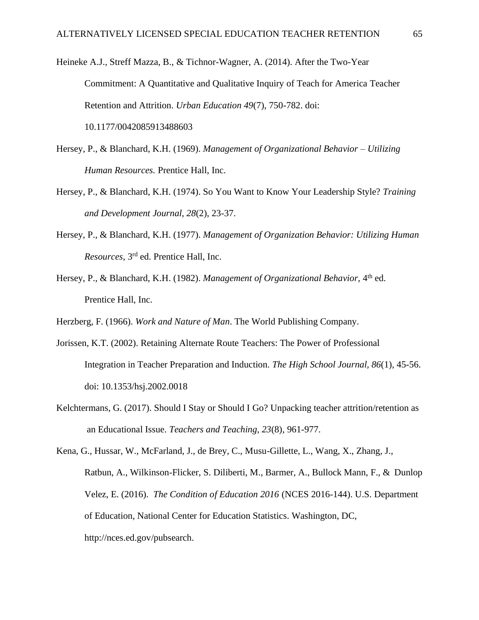Heineke A.J., Streff Mazza, B., & Tichnor-Wagner, A. (2014). After the Two-Year Commitment: A Quantitative and Qualitative Inquiry of Teach for America Teacher Retention and Attrition. *Urban Education 49*(7), 750-782. doi: 10.1177/0042085913488603

- Hersey, P., & Blanchard, K.H. (1969). *Management of Organizational Behavior – Utilizing Human Resources.* Prentice Hall, Inc.
- Hersey, P., & Blanchard, K.H. (1974). So You Want to Know Your Leadership Style? *Training and Development Journal, 28*(2), 23-37.
- Hersey, P., & Blanchard, K.H. (1977). *Management of Organization Behavior: Utilizing Human Resources,* 3 rd ed. Prentice Hall, Inc.
- Hersey, P., & Blanchard, K.H. (1982). *Management of Organizational Behavior*, 4<sup>th</sup> ed. Prentice Hall, Inc.

Herzberg, F. (1966). *Work and Nature of Man*. The World Publishing Company.

- Jorissen, K.T. (2002). Retaining Alternate Route Teachers: The Power of Professional Integration in Teacher Preparation and Induction. *The High School Journal, 86*(1), 45-56. doi: 10.1353/hsj.2002.0018
- Kelchtermans, G. (2017). Should I Stay or Should I Go? Unpacking teacher attrition/retention as an Educational Issue. *Teachers and Teaching, 23*(8), 961-977.

Kena, G., Hussar, W., McFarland, J., de Brey, C., Musu-Gillette, L., Wang, X., Zhang, J., Ratbun, A., Wilkinson-Flicker, S. Diliberti, M., Barmer, A., Bullock Mann, F., & Dunlop Velez, E. (2016). *The Condition of Education 2016* (NCES 2016-144). U.S. Department of Education, National Center for Education Statistics. Washington, DC, http://nces.ed.gov/pubsearch.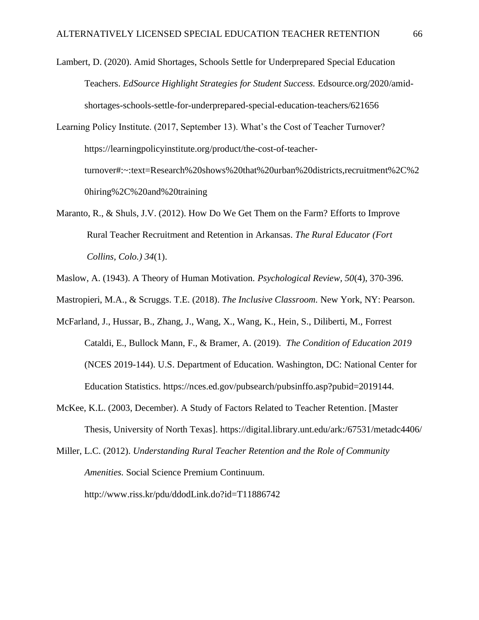Lambert, D. (2020). Amid Shortages, Schools Settle for Underprepared Special Education Teachers. *EdSource Highlight Strategies for Student Success.* Edsource.org/2020/amidshortages-schools-settle-for-underprepared-special-education-teachers/621656

Learning Policy Institute. (2017, September 13). What's the Cost of Teacher Turnover? https://learningpolicyinstitute.org/product/the-cost-of-teacherturnover#:~:text=Research%20shows%20that%20urban%20districts,recruitment%2C%2 0hiring%2C%20and%20training

- Maranto, R., & Shuls, J.V. (2012). How Do We Get Them on the Farm? Efforts to Improve Rural Teacher Recruitment and Retention in Arkansas. *The Rural Educator (Fort Collins, Colo.) 34*(1).
- Maslow, A. (1943). A Theory of Human Motivation. *Psychological Review, 50*(4), 370-396.
- Mastropieri, M.A., & Scruggs. T.E. (2018). *The Inclusive Classroom.* New York, NY: Pearson.
- McFarland, J., Hussar, B., Zhang, J., Wang, X., Wang, K., Hein, S., Diliberti, M., Forrest Cataldi, E., Bullock Mann, F., & Bramer, A. (2019). *The Condition of Education 2019* (NCES 2019-144). U.S. Department of Education. Washington, DC: National Center for Education Statistics. https://nces.ed.gov/pubsearch/pubsinffo.asp?pubid=2019144.
- McKee, K.L. (2003, December). A Study of Factors Related to Teacher Retention. [Master Thesis, University of North Texas]. https://digital.library.unt.edu/ark:/67531/metadc4406/
- Miller, L.C. (2012). *Understanding Rural Teacher Retention and the Role of Community Amenities.* Social Science Premium Continuum.

http://www.riss.kr/pdu/ddodLink.do?id=T11886742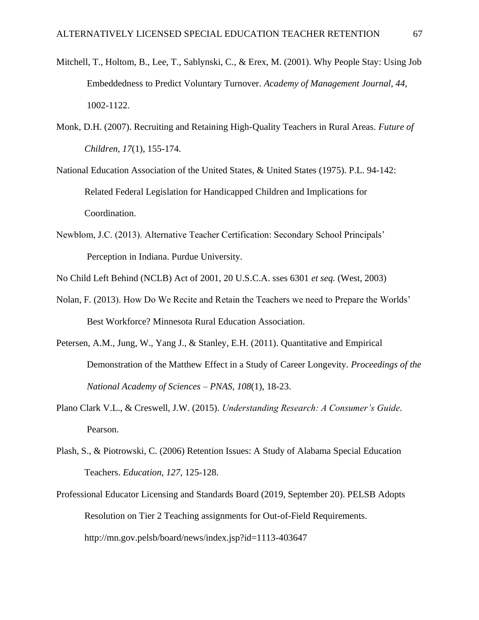- Mitchell, T., Holtom, B., Lee, T., Sablynski, C., & Erex, M. (2001). Why People Stay: Using Job Embeddedness to Predict Voluntary Turnover. *Academy of Management Journal, 44*, 1002-1122.
- Monk, D.H. (2007). Recruiting and Retaining High-Quality Teachers in Rural Areas. *Future of Children, 17*(1), 155-174.
- National Education Association of the United States, & United States (1975). P.L. 94-142: Related Federal Legislation for Handicapped Children and Implications for Coordination.
- Newblom, J.C. (2013). Alternative Teacher Certification: Secondary School Principals' Perception in Indiana. Purdue University.
- No Child Left Behind (NCLB) Act of 2001, 20 U.S.C.A. sses 6301 *et seq.* (West, 2003)
- Nolan, F. (2013). How Do We Recite and Retain the Teachers we need to Prepare the Worlds' Best Workforce? Minnesota Rural Education Association.
- Petersen, A.M., Jung, W., Yang J., & Stanley, E.H. (2011). Quantitative and Empirical Demonstration of the Matthew Effect in a Study of Career Longevity. *Proceedings of the National Academy of Sciences – PNAS, 108*(1), 18-23.
- Plano Clark V.L., & Creswell, J.W. (2015). *Understanding Research: A Consumer's Guide.* Pearson.
- Plash, S., & Piotrowski, C. (2006) Retention Issues: A Study of Alabama Special Education Teachers. *Education, 127,* 125-128.
- Professional Educator Licensing and Standards Board (2019, September 20). PELSB Adopts Resolution on Tier 2 Teaching assignments for Out-of-Field Requirements. http://mn.gov.pelsb/board/news/index.jsp?id=1113-403647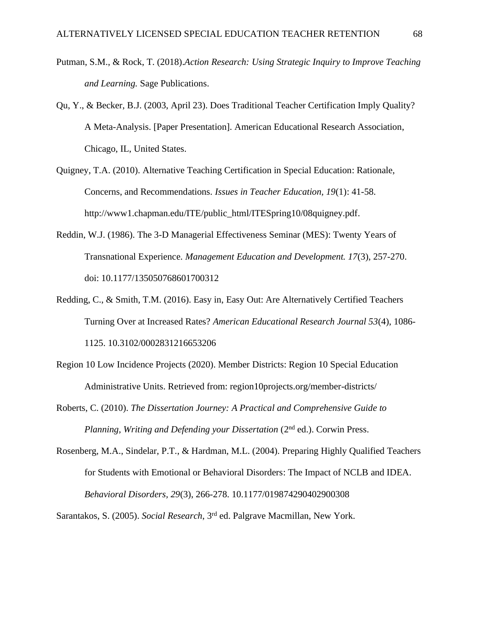- Putman, S.M., & Rock, T. (2018).*Action Research: Using Strategic Inquiry to Improve Teaching and Learning.* Sage Publications.
- Qu, Y., & Becker, B.J. (2003, April 23). Does Traditional Teacher Certification Imply Quality? A Meta-Analysis. [Paper Presentation]. American Educational Research Association, Chicago, IL, United States.
- Quigney, T.A. (2010). Alternative Teaching Certification in Special Education: Rationale, Concerns, and Recommendations. *Issues in Teacher Education, 19*(1): 41-58. http://www1.chapman.edu/ITE/public\_html/ITESpring10/08quigney.pdf.
- Reddin, W.J. (1986). The 3-D Managerial Effectiveness Seminar (MES): Twenty Years of Transnational Experience. *Management Education and Development. 17*(3), 257-270. doi: 10.1177/135050768601700312
- Redding, C., & Smith, T.M. (2016). Easy in, Easy Out: Are Alternatively Certified Teachers Turning Over at Increased Rates? *American Educational Research Journal 53*(4), 1086- 1125. 10.3102/0002831216653206
- Region 10 Low Incidence Projects (2020). Member Districts: Region 10 Special Education Administrative Units. Retrieved from: region10projects.org/member-districts/
- Roberts, C. (2010). *The Dissertation Journey: A Practical and Comprehensive Guide to Planning, Writing and Defending your Dissertation* (2nd ed.). Corwin Press.
- Rosenberg, M.A., Sindelar, P.T., & Hardman, M.L. (2004). Preparing Highly Qualified Teachers for Students with Emotional or Behavioral Disorders: The Impact of NCLB and IDEA. *Behavioral Disorders, 29*(3), 266-278. 10.1177/019874290402900308

Sarantakos, S. (2005). *Social Research*, 3rd ed. Palgrave Macmillan, New York.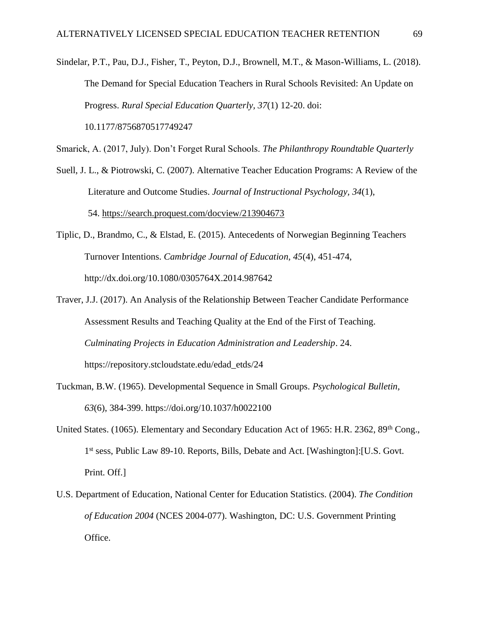Sindelar, P.T., Pau, D.J., Fisher, T., Peyton, D.J., Brownell, M.T., & Mason-Williams, L. (2018). The Demand for Special Education Teachers in Rural Schools Revisited: An Update on Progress. *Rural Special Education Quarterly, 37*(1) 12-20. doi: 10.1177/8756870517749247

Smarick, A. (2017, July). Don't Forget Rural Schools. *The Philanthropy Roundtable Quarterly*

- Suell, J. L., & Piotrowski, C. (2007). Alternative Teacher Education Programs: A Review of the Literature and Outcome Studies. *Journal of Instructional Psychology, 34*(1), 54. <https://search.proquest.com/docview/213904673>
- Tiplic, D., Brandmo, C., & Elstad, E. (2015). Antecedents of Norwegian Beginning Teachers Turnover Intentions. *Cambridge Journal of Education, 45*(4), 451-474, http://dx.doi.org/10.1080/0305764X.2014.987642
- Traver, J.J. (2017). An Analysis of the Relationship Between Teacher Candidate Performance Assessment Results and Teaching Quality at the End of the First of Teaching. *Culminating Projects in Education Administration and Leadership*. 24. https://repository.stcloudstate.edu/edad\_etds/24
- Tuckman, B.W. (1965). Developmental Sequence in Small Groups. *Psychological Bulletin, 63*(6), 384-399. https://doi.org/10.1037/h0022100
- United States. (1065). Elementary and Secondary Education Act of 1965: H.R. 2362, 89<sup>th</sup> Cong., 1<sup>st</sup> sess, Public Law 89-10. Reports, Bills, Debate and Act. [Washington]:[U.S. Govt. Print. Off.]
- U.S. Department of Education, National Center for Education Statistics. (2004). *The Condition of Education 2004* (NCES 2004-077). Washington, DC: U.S. Government Printing Office.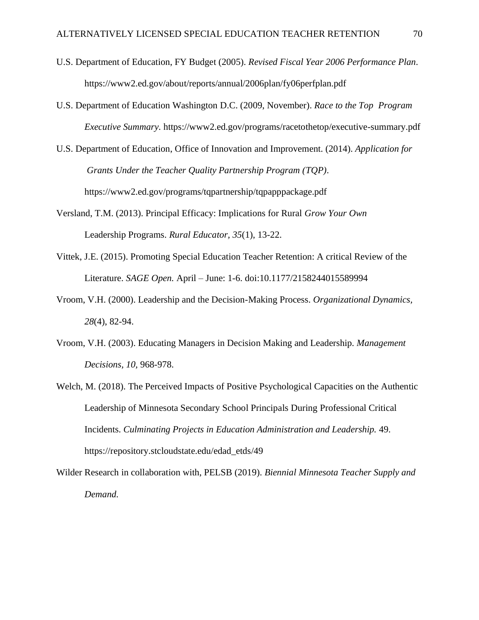- U.S. Department of Education, FY Budget (2005). *Revised Fiscal Year 2006 Performance Plan.* https://www2.ed.gov/about/reports/annual/2006plan/fy06perfplan.pdf
- U.S. Department of Education Washington D.C. (2009, November). *Race to the Top Program Executive Summary.* https://www2.ed.gov/programs/racetothetop/executive-summary.pdf
- U.S. Department of Education, Office of Innovation and Improvement. (2014). *Application for Grants Under the Teacher Quality Partnership Program (TQP)*. https://www2.ed.gov/programs/tqpartnership/tqpapppackage.pdf
- Versland, T.M. (2013). Principal Efficacy: Implications for Rural *Grow Your Own* Leadership Programs. *Rural Educator, 35*(1), 13-22.
- Vittek, J.E. (2015). Promoting Special Education Teacher Retention: A critical Review of the Literature. *SAGE Open.* April – June: 1-6. doi:10.1177/2158244015589994
- Vroom, V.H. (2000). Leadership and the Decision-Making Process. *Organizational Dynamics, 28*(4), 82-94.
- Vroom, V.H. (2003). Educating Managers in Decision Making and Leadership. *Management Decisions, 10,* 968-978.
- Welch, M. (2018). The Perceived Impacts of Positive Psychological Capacities on the Authentic Leadership of Minnesota Secondary School Principals During Professional Critical Incidents. *Culminating Projects in Education Administration and Leadership.* 49. https://repository.stcloudstate.edu/edad\_etds/49

Wilder Research in collaboration with, PELSB (2019). *Biennial Minnesota Teacher Supply and Demand.*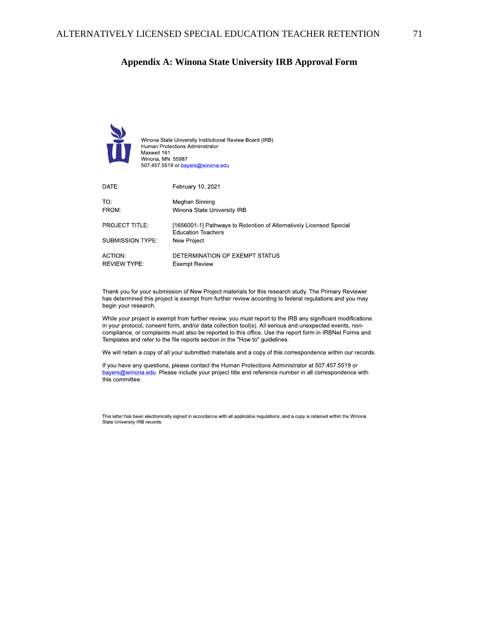# **Appendix A: Winona State University IRB Approval Form**



Thank you for your submission of New Project materials for this research study. The Primary Reviewer has determined this project is exempt from further review according to federal regulations and you may begin your research

While your project is exempt from further review, you must report to the IRB any significant modifications in your protocol, consent form, and/or data collection tool(s). All serious and unexpected events, noncompliance, or complaints must also be reported to this office. Use the report form in IRBNet Forms and Templates and refer to the file reports section in the "How to" guidelines.

We will retain a copy of all your submitted materials and a copy of this correspondence within our records.

If you have any questions, please contact the Human Protections Administrator at 507.457.5519 or bayers@winona.edu. Please include your project title and reference number in all correspondence with this committee.

This letter has been electronically signed in accordance with all applicable regulations, and a copy is retained within the Winona State University IRB records.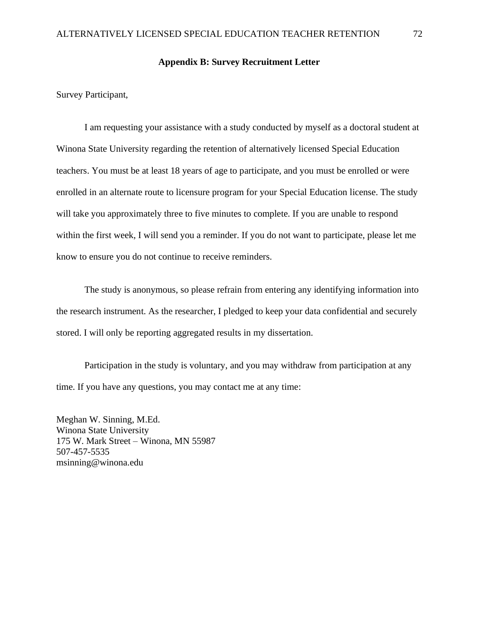#### **Appendix B: Survey Recruitment Letter**

Survey Participant,

I am requesting your assistance with a study conducted by myself as a doctoral student at Winona State University regarding the retention of alternatively licensed Special Education teachers. You must be at least 18 years of age to participate, and you must be enrolled or were enrolled in an alternate route to licensure program for your Special Education license. The study will take you approximately three to five minutes to complete. If you are unable to respond within the first week, I will send you a reminder. If you do not want to participate, please let me know to ensure you do not continue to receive reminders.

The study is anonymous, so please refrain from entering any identifying information into the research instrument. As the researcher, I pledged to keep your data confidential and securely stored. I will only be reporting aggregated results in my dissertation.

Participation in the study is voluntary, and you may withdraw from participation at any time. If you have any questions, you may contact me at any time:

Meghan W. Sinning, M.Ed. Winona State University 175 W. Mark Street – Winona, MN 55987 507-457-5535 msinning@winona.edu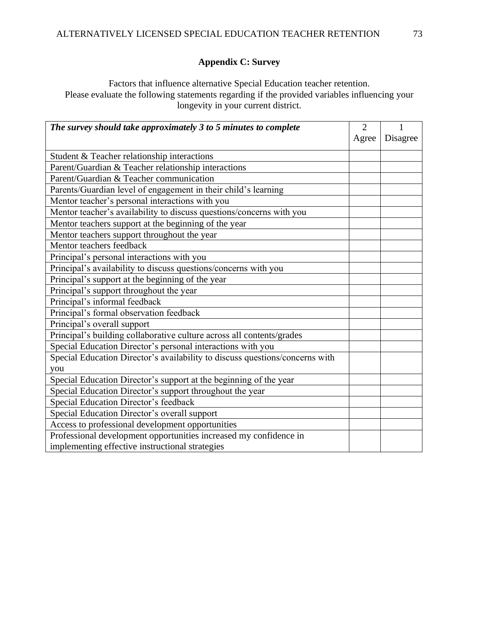## **Appendix C: Survey**

Factors that influence alternative Special Education teacher retention. Please evaluate the following statements regarding if the provided variables influencing your longevity in your current district.

| The survey should take approximately 3 to 5 minutes to complete              | $\overline{2}$ | 1        |
|------------------------------------------------------------------------------|----------------|----------|
|                                                                              | Agree          | Disagree |
| Student & Teacher relationship interactions                                  |                |          |
| Parent/Guardian & Teacher relationship interactions                          |                |          |
| Parent/Guardian & Teacher communication                                      |                |          |
| Parents/Guardian level of engagement in their child's learning               |                |          |
|                                                                              |                |          |
| Mentor teacher's personal interactions with you                              |                |          |
| Mentor teacher's availability to discuss questions/concerns with you         |                |          |
| Mentor teachers support at the beginning of the year                         |                |          |
| Mentor teachers support throughout the year                                  |                |          |
| Mentor teachers feedback                                                     |                |          |
| Principal's personal interactions with you                                   |                |          |
| Principal's availability to discuss questions/concerns with you              |                |          |
| Principal's support at the beginning of the year                             |                |          |
| Principal's support throughout the year                                      |                |          |
| Principal's informal feedback                                                |                |          |
| Principal's formal observation feedback                                      |                |          |
| Principal's overall support                                                  |                |          |
| Principal's building collaborative culture across all contents/grades        |                |          |
| Special Education Director's personal interactions with you                  |                |          |
| Special Education Director's availability to discuss questions/concerns with |                |          |
| you                                                                          |                |          |
| Special Education Director's support at the beginning of the year            |                |          |
| Special Education Director's support throughout the year                     |                |          |
| Special Education Director's feedback                                        |                |          |
| Special Education Director's overall support                                 |                |          |
| Access to professional development opportunities                             |                |          |
| Professional development opportunities increased my confidence in            |                |          |
| implementing effective instructional strategies                              |                |          |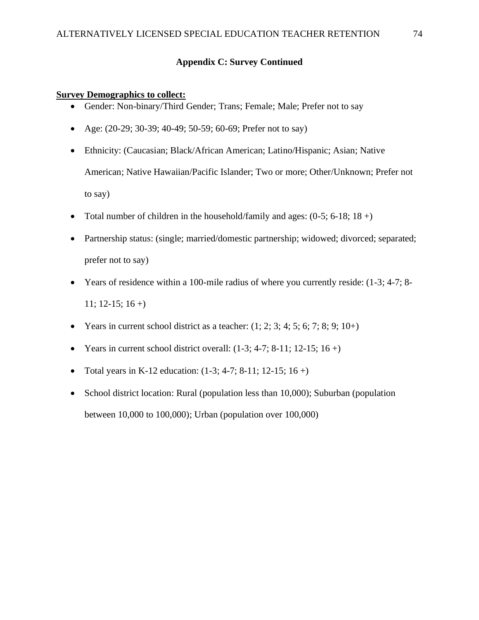## **Appendix C: Survey Continued**

#### **Survey Demographics to collect:**

- Gender: Non-binary/Third Gender; Trans; Female; Male; Prefer not to say
- Age: (20-29; 30-39; 40-49; 50-59; 60-69; Prefer not to say)
- Ethnicity: (Caucasian; Black/African American; Latino/Hispanic; Asian; Native American; Native Hawaiian/Pacific Islander; Two or more; Other/Unknown; Prefer not to say)
- Total number of children in the household/family and ages:  $(0-5; 6-18; 18 +)$
- Partnership status: (single; married/domestic partnership; widowed; divorced; separated; prefer not to say)
- Years of residence within a 100-mile radius of where you currently reside: (1-3; 4-7; 8-  $11$ ; 12-15; 16 +)
- Years in current school district as a teacher:  $(1; 2; 3; 4; 5; 6; 7; 8; 9; 10+)$
- Years in current school district overall:  $(1-3; 4-7; 8-11; 12-15; 16+)$
- Total years in K-12 education:  $(1-3; 4-7; 8-11; 12-15; 16+)$
- School district location: Rural (population less than 10,000); Suburban (population between 10,000 to 100,000); Urban (population over 100,000)